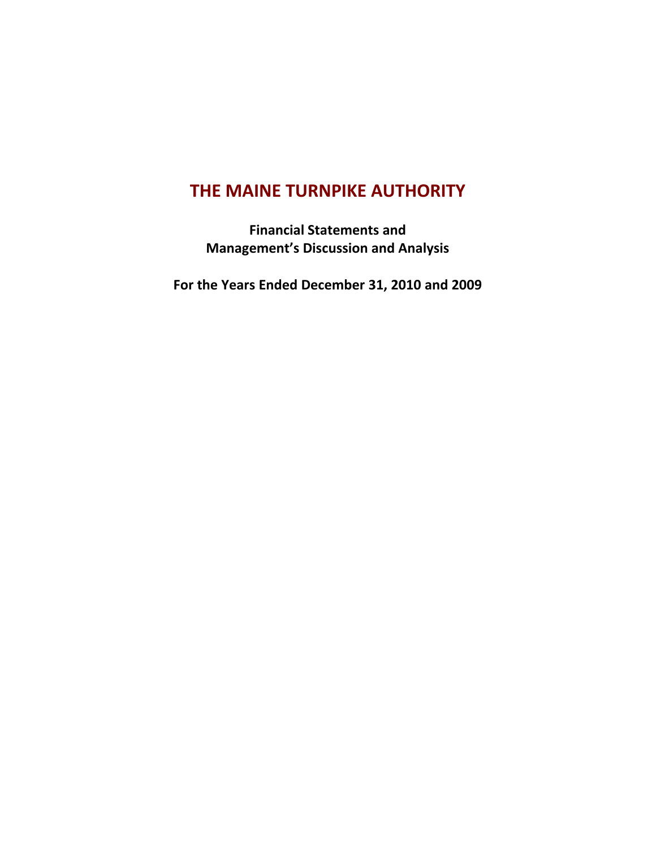# **THE MAINE TURNPIKE AUTHORITY**

**Financial Statements and Management's Discussion and Analysis**

**For the Years Ended December 31, 2010 and 2009**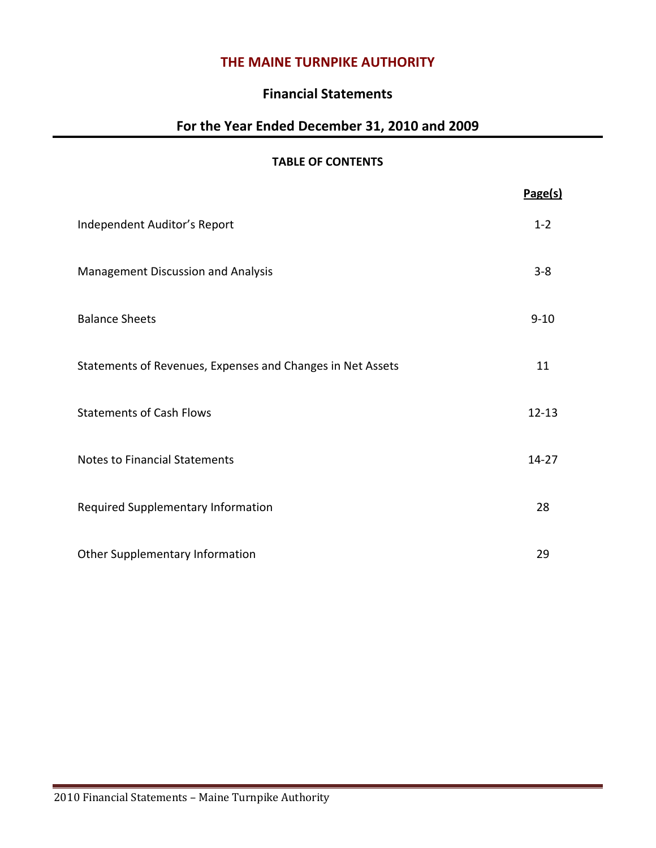# **THE MAINE TURNPIKE AUTHORITY**

# **Financial Statements**

# **For the Year Ended December 31, 2010 and 2009**

# **TABLE OF CONTENTS**

|                                                            | Page(s)   |
|------------------------------------------------------------|-----------|
| Independent Auditor's Report                               | $1 - 2$   |
| Management Discussion and Analysis                         | $3 - 8$   |
| <b>Balance Sheets</b>                                      | $9 - 10$  |
| Statements of Revenues, Expenses and Changes in Net Assets | 11        |
| <b>Statements of Cash Flows</b>                            | $12 - 13$ |
| <b>Notes to Financial Statements</b>                       | $14 - 27$ |
| Required Supplementary Information                         | 28        |
| Other Supplementary Information                            | 29        |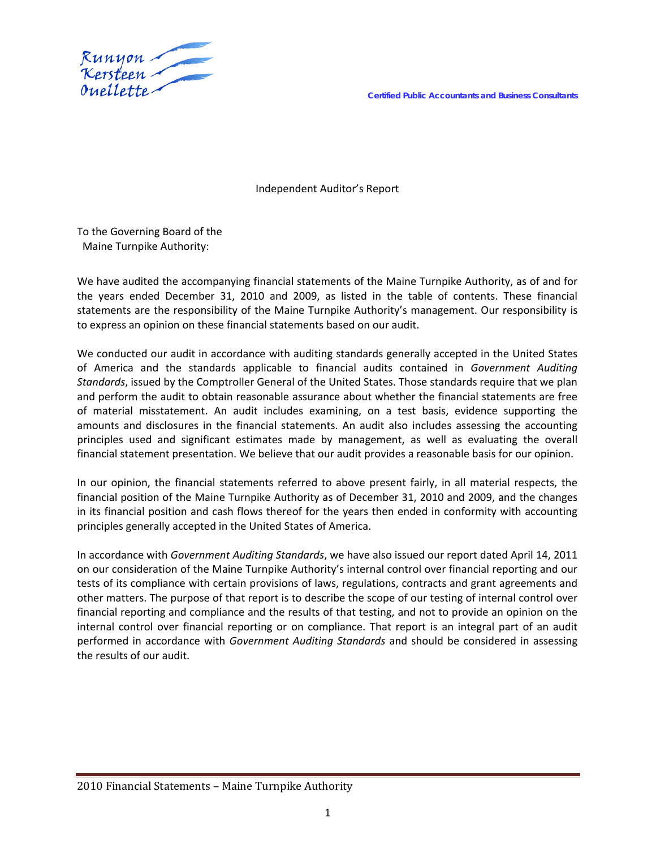

Independent Auditor's Report

To the Governing Board of the Maine Turnpike Authority:

We have audited the accompanying financial statements of the Maine Turnpike Authority, as of and for the years ended December 31, 2010 and 2009, as listed in the table of contents. These financial statements are the responsibility of the Maine Turnpike Authority's management. Our responsibility is to express an opinion on these financial statements based on our audit.

We conducted our audit in accordance with auditing standards generally accepted in the United States of America and the standards applicable to financial audits contained in *Government Auditing Standards*, issued by the Comptroller General of the United States. Those standards require that we plan and perform the audit to obtain reasonable assurance about whether the financial statements are free of material misstatement. An audit includes examining, on a test basis, evidence supporting the amounts and disclosures in the financial statements. An audit also includes assessing the accounting principles used and significant estimates made by management, as well as evaluating the overall financial statement presentation. We believe that our audit provides a reasonable basis for our opinion.

In our opinion, the financial statements referred to above present fairly, in all material respects, the financial position of the Maine Turnpike Authority as of December 31, 2010 and 2009, and the changes in its financial position and cash flows thereof for the years then ended in conformity with accounting principles generally accepted in the United States of America.

In accordance with *Government Auditing Standards*, we have also issued our report dated April 14, 2011 on our consideration of the Maine Turnpike Authority's internal control over financial reporting and our tests of its compliance with certain provisions of laws, regulations, contracts and grant agreements and other matters. The purpose of that report is to describe the scope of our testing of internal control over financial reporting and compliance and the results of that testing, and not to provide an opinion on the internal control over financial reporting or on compliance. That report is an integral part of an audit performed in accordance with *Government Auditing Standards* and should be considered in assessing the results of our audit.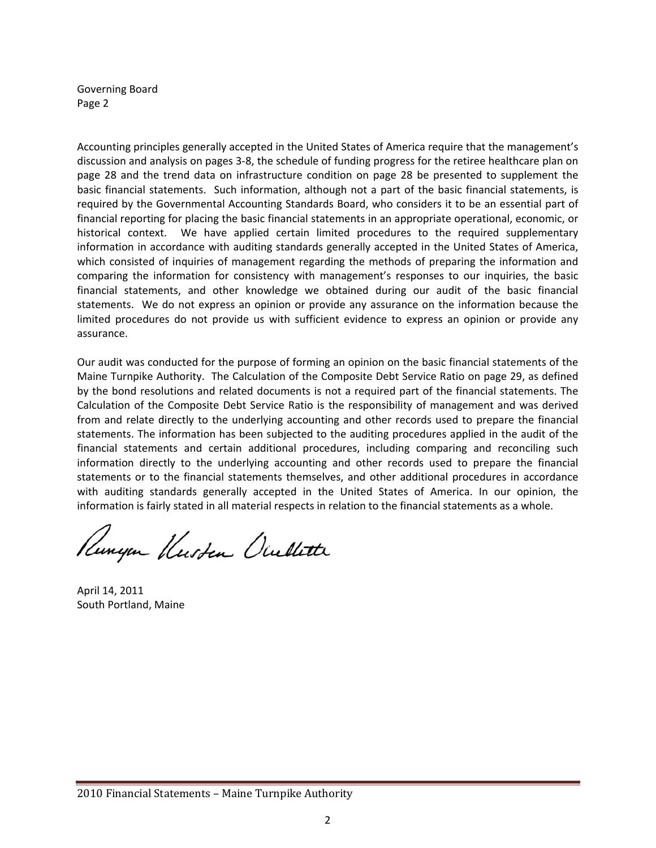Governing Board Page 2

Accounting principles generally accepted in the United States of America require that the management's discussion and analysis on pages 3‐8, the schedule of funding progress for the retiree healthcare plan on page 28 and the trend data on infrastructure condition on page 28 be presented to supplement the basic financial statements. Such information, although not a part of the basic financial statements, is required by the Governmental Accounting Standards Board, who considers it to be an essential part of financial reporting for placing the basic financial statements in an appropriate operational, economic, or historical context. We have applied certain limited procedures to the required supplementary information in accordance with auditing standards generally accepted in the United States of America, which consisted of inquiries of management regarding the methods of preparing the information and comparing the information for consistency with management's responses to our inquiries, the basic financial statements, and other knowledge we obtained during our audit of the basic financial statements. We do not express an opinion or provide any assurance on the information because the limited procedures do not provide us with sufficient evidence to express an opinion or provide any assurance.

Our audit was conducted for the purpose of forming an opinion on the basic financial statements of the Maine Turnpike Authority. The Calculation of the Composite Debt Service Ratio on page 29, as defined by the bond resolutions and related documents is not a required part of the financial statements. The Calculation of the Composite Debt Service Ratio is the responsibility of management and was derived from and relate directly to the underlying accounting and other records used to prepare the financial statements. The information has been subjected to the auditing procedures applied in the audit of the financial statements and certain additional procedures, including comparing and reconciling such information directly to the underlying accounting and other records used to prepare the financial statements or to the financial statements themselves, and other additional procedures in accordance with auditing standards generally accepted in the United States of America. In our opinion, the information is fairly stated in all material respects in relation to the financial statements as a whole.

Runyon Kusten Ouellette

April 14, 2011 South Portland, Maine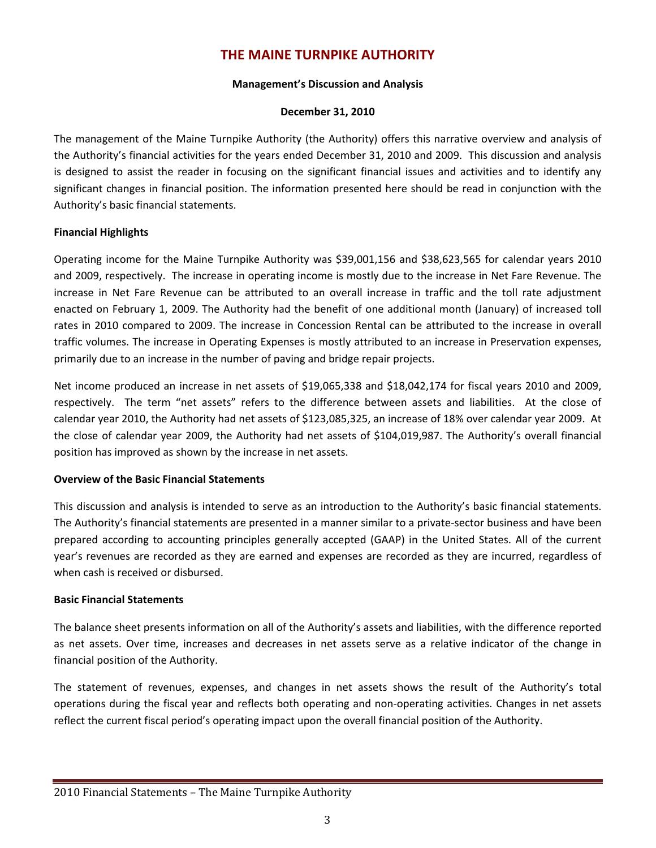# **THE MAINE TURNPIKE AUTHORITY**

# **Management's Discussion and Analysis**

#### **December 31, 2010**

The management of the Maine Turnpike Authority (the Authority) offers this narrative overview and analysis of the Authority's financial activities for the years ended December 31, 2010 and 2009. This discussion and analysis is designed to assist the reader in focusing on the significant financial issues and activities and to identify any significant changes in financial position. The information presented here should be read in conjunction with the Authority's basic financial statements.

# **Financial Highlights**

Operating income for the Maine Turnpike Authority was \$39,001,156 and \$38,623,565 for calendar years 2010 and 2009, respectively. The increase in operating income is mostly due to the increase in Net Fare Revenue. The increase in Net Fare Revenue can be attributed to an overall increase in traffic and the toll rate adjustment enacted on February 1, 2009. The Authority had the benefit of one additional month (January) of increased toll rates in 2010 compared to 2009. The increase in Concession Rental can be attributed to the increase in overall traffic volumes. The increase in Operating Expenses is mostly attributed to an increase in Preservation expenses, primarily due to an increase in the number of paving and bridge repair projects.

Net income produced an increase in net assets of \$19,065,338 and \$18,042,174 for fiscal years 2010 and 2009, respectively. The term "net assets" refers to the difference between assets and liabilities. At the close of calendar year 2010, the Authority had net assets of \$123,085,325, an increase of 18% over calendar year 2009. At the close of calendar year 2009, the Authority had net assets of \$104,019,987. The Authority's overall financial position has improved as shown by the increase in net assets.

# **Overview of the Basic Financial Statements**

This discussion and analysis is intended to serve as an introduction to the Authority's basic financial statements. The Authority's financial statements are presented in a manner similar to a private‐sector business and have been prepared according to accounting principles generally accepted (GAAP) in the United States. All of the current year's revenues are recorded as they are earned and expenses are recorded as they are incurred, regardless of when cash is received or disbursed.

# **Basic Financial Statements**

The balance sheet presents information on all of the Authority's assets and liabilities, with the difference reported as net assets. Over time, increases and decreases in net assets serve as a relative indicator of the change in financial position of the Authority.

The statement of revenues, expenses, and changes in net assets shows the result of the Authority's total operations during the fiscal year and reflects both operating and non‐operating activities. Changes in net assets reflect the current fiscal period's operating impact upon the overall financial position of the Authority.

# 2010 Financial Statements – The Maine Turnpike Authority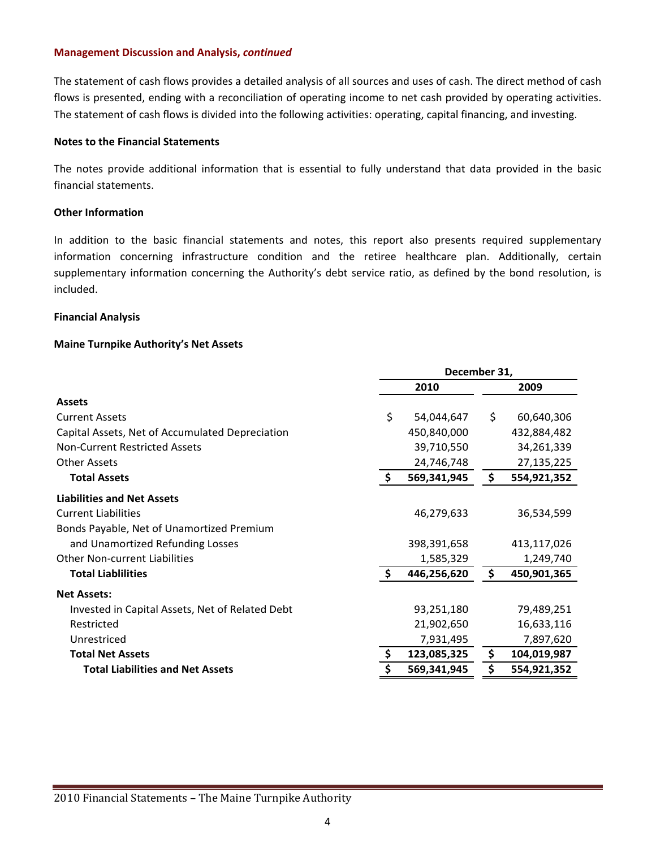The statement of cash flows provides a detailed analysis of all sources and uses of cash. The direct method of cash flows is presented, ending with a reconciliation of operating income to net cash provided by operating activities. The statement of cash flows is divided into the following activities: operating, capital financing, and investing.

# **Notes to the Financial Statements**

The notes provide additional information that is essential to fully understand that data provided in the basic financial statements.

# **Other Information**

In addition to the basic financial statements and notes, this report also presents required supplementary information concerning infrastructure condition and the retiree healthcare plan. Additionally, certain supplementary information concerning the Authority's debt service ratio, as defined by the bond resolution, is included.

#### **Financial Analysis**

# **Maine Turnpike Authority's Net Assets**

|                                                 | December 31, |             |    |             |  |
|-------------------------------------------------|--------------|-------------|----|-------------|--|
|                                                 |              | 2010        |    | 2009        |  |
| <b>Assets</b>                                   |              |             |    |             |  |
| <b>Current Assets</b>                           | \$           | 54,044,647  | \$ | 60,640,306  |  |
| Capital Assets, Net of Accumulated Depreciation |              | 450,840,000 |    | 432,884,482 |  |
| <b>Non-Current Restricted Assets</b>            |              | 39,710,550  |    | 34,261,339  |  |
| <b>Other Assets</b>                             |              | 24,746,748  |    | 27,135,225  |  |
| <b>Total Assets</b>                             | S.           | 569,341,945 | \$ | 554,921,352 |  |
| <b>Liabilities and Net Assets</b>               |              |             |    |             |  |
| <b>Current Liabilities</b>                      |              | 46,279,633  |    | 36,534,599  |  |
| Bonds Payable, Net of Unamortized Premium       |              |             |    |             |  |
| and Unamortized Refunding Losses                |              | 398,391,658 |    | 413,117,026 |  |
| <b>Other Non-current Liabilities</b>            |              | 1,585,329   |    | 1,249,740   |  |
| <b>Total Liablilities</b>                       | - Ś          | 446,256,620 | \$ | 450,901,365 |  |
| <b>Net Assets:</b>                              |              |             |    |             |  |
| Invested in Capital Assets, Net of Related Debt |              | 93,251,180  |    | 79,489,251  |  |
| Restricted                                      |              | 21,902,650  |    | 16,633,116  |  |
| Unrestriced                                     |              | 7,931,495   |    | 7,897,620   |  |
| <b>Total Net Assets</b>                         |              | 123,085,325 | \$ | 104,019,987 |  |
| <b>Total Liabilities and Net Assets</b>         |              | 569,341,945 | \$ | 554,921,352 |  |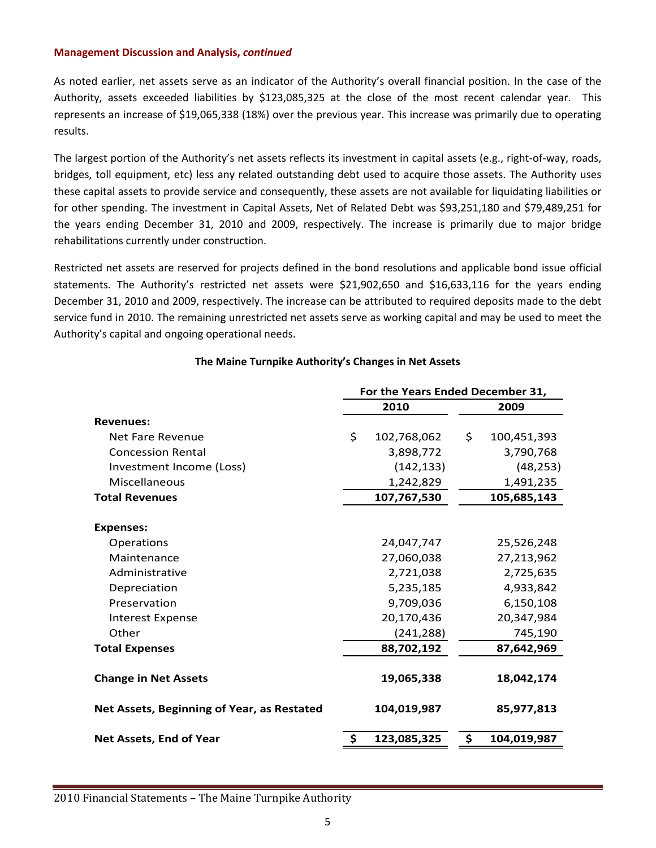As noted earlier, net assets serve as an indicator of the Authority's overall financial position. In the case of the Authority, assets exceeded liabilities by \$123,085,325 at the close of the most recent calendar year. This represents an increase of \$19,065,338 (18%) over the previous year. This increase was primarily due to operating results.

The largest portion of the Authority's net assets reflects its investment in capital assets (e.g., right-of-way, roads, bridges, toll equipment, etc) less any related outstanding debt used to acquire those assets. The Authority uses these capital assets to provide service and consequently, these assets are not available for liquidating liabilities or for other spending. The investment in Capital Assets, Net of Related Debt was \$93,251,180 and \$79,489,251 for the years ending December 31, 2010 and 2009, respectively. The increase is primarily due to major bridge rehabilitations currently under construction.

Restricted net assets are reserved for projects defined in the bond resolutions and applicable bond issue official statements. The Authority's restricted net assets were \$21,902,650 and \$16,633,116 for the years ending December 31, 2010 and 2009, respectively. The increase can be attributed to required deposits made to the debt service fund in 2010. The remaining unrestricted net assets serve as working capital and may be used to meet the Authority's capital and ongoing operational needs.

|                                            | For the Years Ended December 31, |             |     |             |  |
|--------------------------------------------|----------------------------------|-------------|-----|-------------|--|
|                                            |                                  | 2010        |     | 2009        |  |
| <b>Revenues:</b>                           |                                  |             |     |             |  |
| Net Fare Revenue                           | \$                               | 102,768,062 | \$. | 100,451,393 |  |
| <b>Concession Rental</b>                   |                                  | 3,898,772   |     | 3,790,768   |  |
| Investment Income (Loss)                   |                                  | (142, 133)  |     | (48, 253)   |  |
| Miscellaneous                              |                                  | 1,242,829   |     | 1,491,235   |  |
| <b>Total Revenues</b>                      |                                  | 107,767,530 |     | 105,685,143 |  |
| <b>Expenses:</b>                           |                                  |             |     |             |  |
| Operations                                 |                                  | 24,047,747  |     | 25,526,248  |  |
| Maintenance                                |                                  | 27,060,038  |     | 27,213,962  |  |
| Administrative                             |                                  | 2,721,038   |     | 2,725,635   |  |
| Depreciation                               |                                  | 5,235,185   |     | 4,933,842   |  |
| Preservation                               |                                  | 9,709,036   |     | 6,150,108   |  |
| <b>Interest Expense</b>                    |                                  | 20,170,436  |     | 20,347,984  |  |
| Other                                      |                                  | (241, 288)  |     | 745,190     |  |
| <b>Total Expenses</b>                      |                                  | 88,702,192  |     | 87,642,969  |  |
| <b>Change in Net Assets</b>                |                                  | 19,065,338  |     | 18,042,174  |  |
| Net Assets, Beginning of Year, as Restated |                                  | 104,019,987 |     | 85,977,813  |  |
| Net Assets, End of Year                    | \$                               | 123,085,325 | \$  | 104,019,987 |  |

# **The Maine Turnpike Authority's Changes in Net Assets**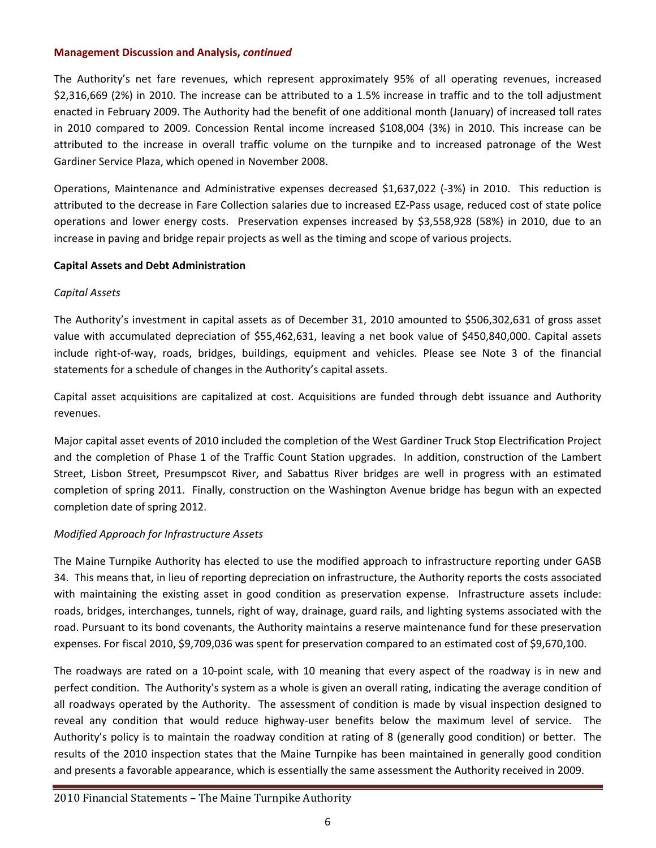The Authority's net fare revenues, which represent approximately 95% of all operating revenues, increased \$2,316,669 (2%) in 2010. The increase can be attributed to a 1.5% increase in traffic and to the toll adjustment enacted in February 2009. The Authority had the benefit of one additional month (January) of increased toll rates in 2010 compared to 2009. Concession Rental income increased \$108,004 (3%) in 2010. This increase can be attributed to the increase in overall traffic volume on the turnpike and to increased patronage of the West Gardiner Service Plaza, which opened in November 2008.

Operations, Maintenance and Administrative expenses decreased \$1,637,022 (‐3%) in 2010. This reduction is attributed to the decrease in Fare Collection salaries due to increased EZ‐Pass usage, reduced cost of state police operations and lower energy costs. Preservation expenses increased by \$3,558,928 (58%) in 2010, due to an increase in paving and bridge repair projects as well as the timing and scope of various projects.

# **Capital Assets and Debt Administration**

# *Capital Assets*

The Authority's investment in capital assets as of December 31, 2010 amounted to \$506,302,631 of gross asset value with accumulated depreciation of \$55,462,631, leaving a net book value of \$450,840,000. Capital assets include right‐of‐way, roads, bridges, buildings, equipment and vehicles. Please see Note 3 of the financial statements for a schedule of changes in the Authority's capital assets.

Capital asset acquisitions are capitalized at cost. Acquisitions are funded through debt issuance and Authority revenues.

Major capital asset events of 2010 included the completion of the West Gardiner Truck Stop Electrification Project and the completion of Phase 1 of the Traffic Count Station upgrades. In addition, construction of the Lambert Street, Lisbon Street, Presumpscot River, and Sabattus River bridges are well in progress with an estimated completion of spring 2011. Finally, construction on the Washington Avenue bridge has begun with an expected completion date of spring 2012.

# *Modified Approach for Infrastructure Assets*

The Maine Turnpike Authority has elected to use the modified approach to infrastructure reporting under GASB 34. This means that, in lieu of reporting depreciation on infrastructure, the Authority reports the costs associated with maintaining the existing asset in good condition as preservation expense. Infrastructure assets include: roads, bridges, interchanges, tunnels, right of way, drainage, guard rails, and lighting systems associated with the road. Pursuant to its bond covenants, the Authority maintains a reserve maintenance fund for these preservation expenses. For fiscal 2010, \$9,709,036 was spent for preservation compared to an estimated cost of \$9,670,100.

The roadways are rated on a 10‐point scale, with 10 meaning that every aspect of the roadway is in new and perfect condition. The Authority's system as a whole is given an overall rating, indicating the average condition of all roadways operated by the Authority. The assessment of condition is made by visual inspection designed to reveal any condition that would reduce highway-user benefits below the maximum level of service. The Authority's policy is to maintain the roadway condition at rating of 8 (generally good condition) or better. The results of the 2010 inspection states that the Maine Turnpike has been maintained in generally good condition and presents a favorable appearance, which is essentially the same assessment the Authority received in 2009.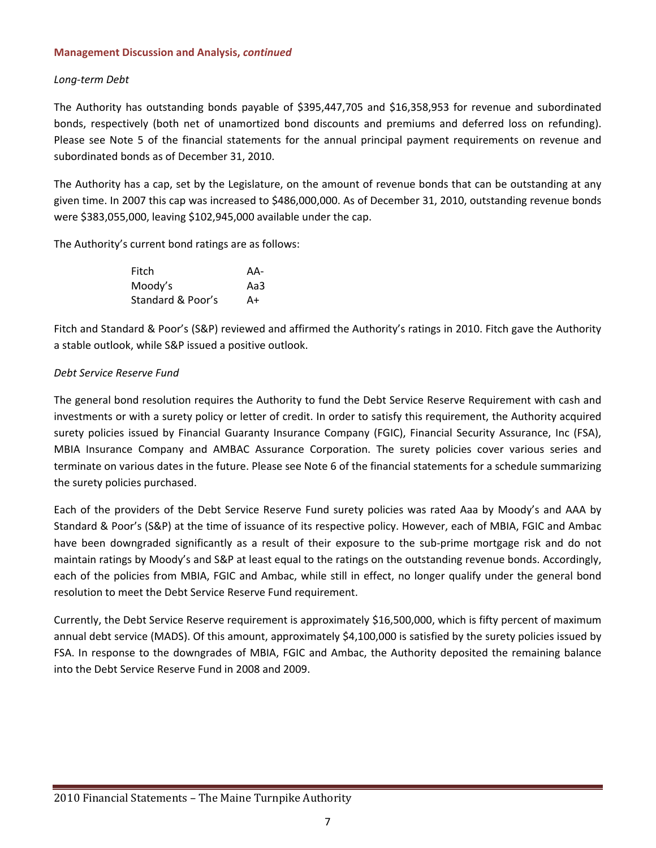# *Long‐term Debt*

The Authority has outstanding bonds payable of \$395,447,705 and \$16,358,953 for revenue and subordinated bonds, respectively (both net of unamortized bond discounts and premiums and deferred loss on refunding). Please see Note 5 of the financial statements for the annual principal payment requirements on revenue and subordinated bonds as of December 31, 2010.

The Authority has a cap, set by the Legislature, on the amount of revenue bonds that can be outstanding at any given time. In 2007 this cap was increased to \$486,000,000. As of December 31, 2010, outstanding revenue bonds were \$383,055,000, leaving \$102,945,000 available under the cap.

The Authority's current bond ratings are as follows:

| Fitch             | AA- |
|-------------------|-----|
| Moody's           | Aa3 |
| Standard & Poor's | A+  |

Fitch and Standard & Poor's (S&P) reviewed and affirmed the Authority's ratings in 2010. Fitch gave the Authority a stable outlook, while S&P issued a positive outlook.

# *Debt Service Reserve Fund*

The general bond resolution requires the Authority to fund the Debt Service Reserve Requirement with cash and investments or with a surety policy or letter of credit. In order to satisfy this requirement, the Authority acquired surety policies issued by Financial Guaranty Insurance Company (FGIC), Financial Security Assurance, Inc (FSA), MBIA Insurance Company and AMBAC Assurance Corporation. The surety policies cover various series and terminate on various dates in the future. Please see Note 6 of the financial statements for a schedule summarizing the surety policies purchased.

Each of the providers of the Debt Service Reserve Fund surety policies was rated Aaa by Moody's and AAA by Standard & Poor's (S&P) at the time of issuance of its respective policy. However, each of MBIA, FGIC and Ambac have been downgraded significantly as a result of their exposure to the sub-prime mortgage risk and do not maintain ratings by Moody's and S&P at least equal to the ratings on the outstanding revenue bonds. Accordingly, each of the policies from MBIA, FGIC and Ambac, while still in effect, no longer qualify under the general bond resolution to meet the Debt Service Reserve Fund requirement.

Currently, the Debt Service Reserve requirement is approximately \$16,500,000, which is fifty percent of maximum annual debt service (MADS). Of this amount, approximately \$4,100,000 is satisfied by the surety policies issued by FSA. In response to the downgrades of MBIA, FGIC and Ambac, the Authority deposited the remaining balance into the Debt Service Reserve Fund in 2008 and 2009.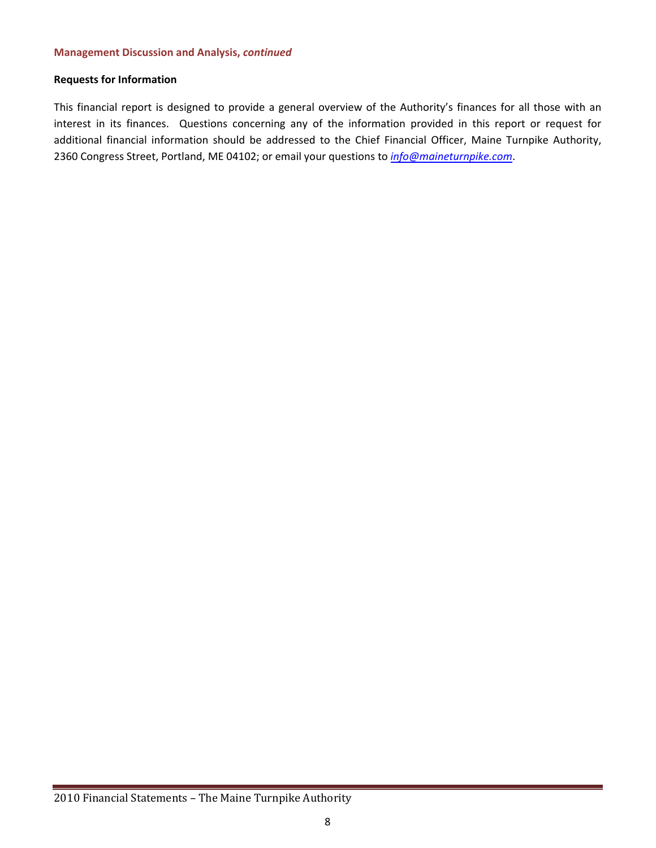# **Requests for Information**

This financial report is designed to provide a general overview of the Authority's finances for all those with an interest in its finances. Questions concerning any of the information provided in this report or request for additional financial information should be addressed to the Chief Financial Officer, Maine Turnpike Authority, 2360 Congress Street, Portland, ME 04102; or email your questions to *info@maineturnpike.com*.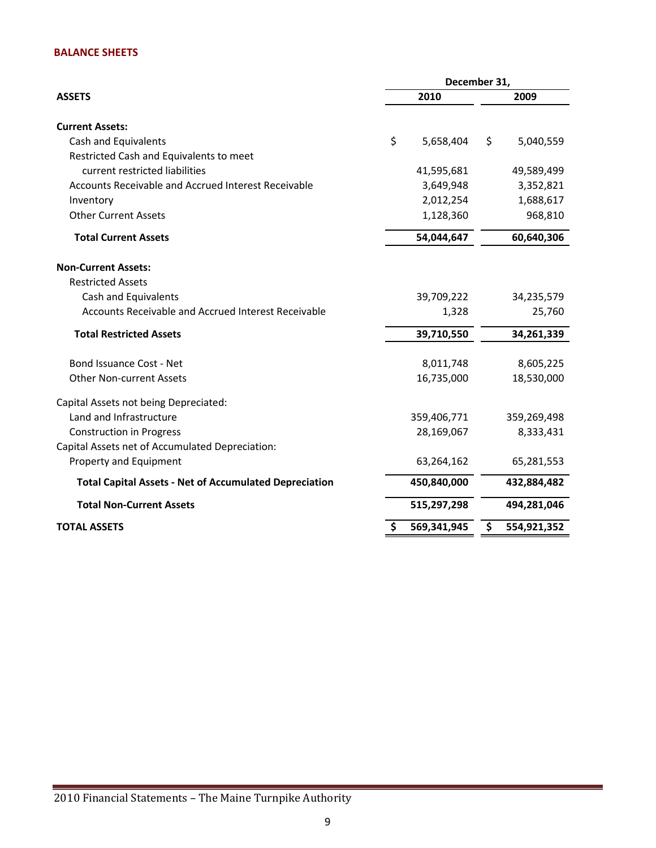# **BALANCE SHEETS**

|                                                               | December 31, |             |    |             |  |
|---------------------------------------------------------------|--------------|-------------|----|-------------|--|
| <b>ASSETS</b>                                                 |              | 2010        |    | 2009        |  |
| <b>Current Assets:</b>                                        |              |             |    |             |  |
| Cash and Equivalents                                          | \$           | 5,658,404   | \$ | 5,040,559   |  |
| Restricted Cash and Equivalents to meet                       |              |             |    |             |  |
| current restricted liabilities                                |              | 41,595,681  |    | 49,589,499  |  |
| Accounts Receivable and Accrued Interest Receivable           |              | 3,649,948   |    | 3,352,821   |  |
| Inventory                                                     |              | 2,012,254   |    | 1,688,617   |  |
| <b>Other Current Assets</b>                                   |              | 1,128,360   |    | 968,810     |  |
| <b>Total Current Assets</b>                                   |              | 54,044,647  |    | 60,640,306  |  |
| <b>Non-Current Assets:</b>                                    |              |             |    |             |  |
| <b>Restricted Assets</b>                                      |              |             |    |             |  |
| Cash and Equivalents                                          |              | 39,709,222  |    | 34,235,579  |  |
| Accounts Receivable and Accrued Interest Receivable           |              | 1,328       |    | 25,760      |  |
| <b>Total Restricted Assets</b>                                |              | 39,710,550  |    | 34,261,339  |  |
| Bond Issuance Cost - Net                                      |              | 8,011,748   |    | 8,605,225   |  |
| <b>Other Non-current Assets</b>                               |              | 16,735,000  |    | 18,530,000  |  |
| Capital Assets not being Depreciated:                         |              |             |    |             |  |
| Land and Infrastructure                                       |              | 359,406,771 |    | 359,269,498 |  |
| <b>Construction in Progress</b>                               |              | 28,169,067  |    | 8,333,431   |  |
| Capital Assets net of Accumulated Depreciation:               |              |             |    |             |  |
| Property and Equipment                                        |              | 63,264,162  |    | 65,281,553  |  |
| <b>Total Capital Assets - Net of Accumulated Depreciation</b> |              | 450,840,000 |    | 432,884,482 |  |
| <b>Total Non-Current Assets</b>                               |              | 515,297,298 |    | 494,281,046 |  |
| <b>TOTAL ASSETS</b>                                           | \$           | 569,341,945 | \$ | 554,921,352 |  |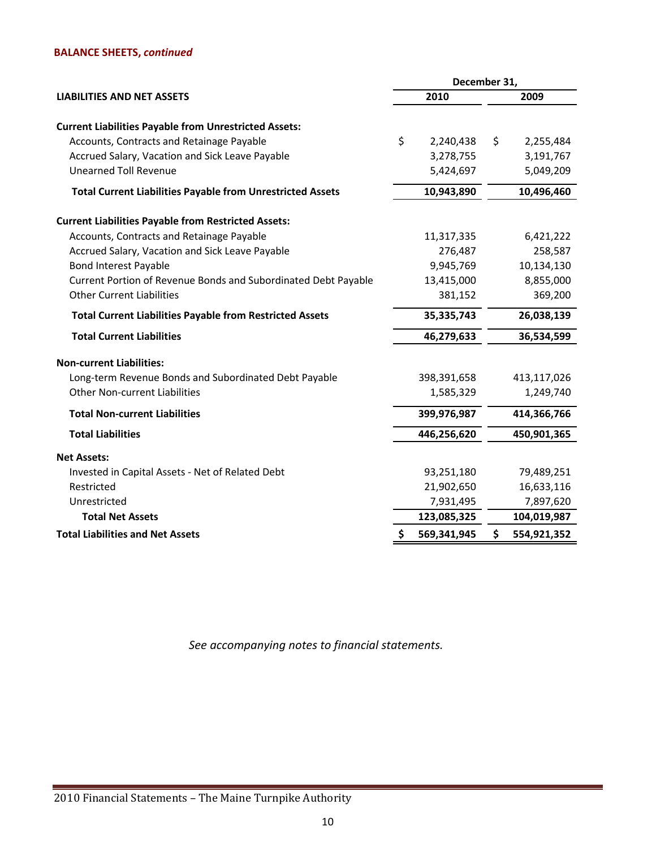#### **BALANCE SHEETS,** *continued*

| December 31,                                                      |            |             |    |             |  |
|-------------------------------------------------------------------|------------|-------------|----|-------------|--|
| <b>LIABILITIES AND NET ASSETS</b>                                 |            | 2010        |    | 2009        |  |
| <b>Current Liabilities Payable from Unrestricted Assets:</b>      |            |             |    |             |  |
| Accounts, Contracts and Retainage Payable                         | \$         | 2,240,438   | \$ | 2,255,484   |  |
| Accrued Salary, Vacation and Sick Leave Payable                   |            | 3,278,755   |    | 3,191,767   |  |
| <b>Unearned Toll Revenue</b>                                      |            | 5,424,697   |    | 5,049,209   |  |
| <b>Total Current Liabilities Payable from Unrestricted Assets</b> |            | 10,943,890  |    | 10,496,460  |  |
| <b>Current Liabilities Payable from Restricted Assets:</b>        |            |             |    |             |  |
| Accounts, Contracts and Retainage Payable                         |            | 11,317,335  |    | 6,421,222   |  |
| Accrued Salary, Vacation and Sick Leave Payable                   |            | 276,487     |    | 258,587     |  |
| <b>Bond Interest Payable</b>                                      |            | 9,945,769   |    | 10,134,130  |  |
| Current Portion of Revenue Bonds and Subordinated Debt Payable    |            | 13,415,000  |    | 8,855,000   |  |
| <b>Other Current Liabilities</b>                                  |            | 381,152     |    | 369,200     |  |
| <b>Total Current Liabilities Payable from Restricted Assets</b>   | 35,335,743 |             |    |             |  |
| <b>Total Current Liabilities</b>                                  |            | 46,279,633  |    | 36,534,599  |  |
| <b>Non-current Liabilities:</b>                                   |            |             |    |             |  |
| Long-term Revenue Bonds and Subordinated Debt Payable             |            | 398,391,658 |    | 413,117,026 |  |
| <b>Other Non-current Liabilities</b>                              |            | 1,585,329   |    | 1,249,740   |  |
| <b>Total Non-current Liabilities</b>                              |            | 399,976,987 |    | 414,366,766 |  |
| <b>Total Liabilities</b>                                          |            | 446,256,620 |    | 450,901,365 |  |
| <b>Net Assets:</b>                                                |            |             |    |             |  |
| Invested in Capital Assets - Net of Related Debt                  |            | 93,251,180  |    | 79,489,251  |  |
| Restricted                                                        |            | 21,902,650  |    | 16,633,116  |  |
| Unrestricted                                                      |            | 7,931,495   |    | 7,897,620   |  |
| <b>Total Net Assets</b>                                           |            | 123,085,325 |    | 104,019,987 |  |
| <b>Total Liabilities and Net Assets</b>                           | \$         | 569,341,945 | \$ | 554,921,352 |  |

*See accompanying notes to financial statements.*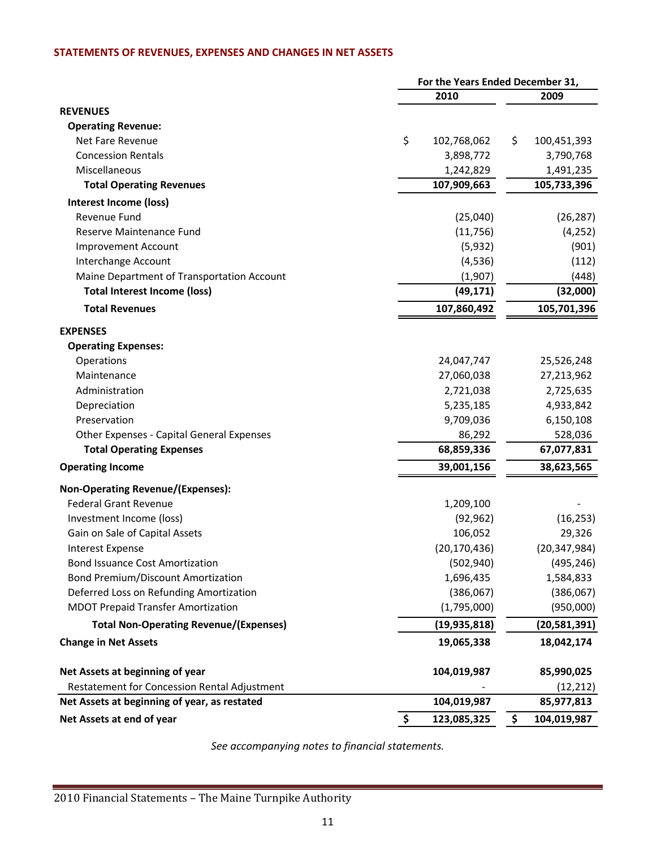# **STATEMENTS OF REVENUES, EXPENSES AND CHANGES IN NET ASSETS**

|                                               | For the Years Ended December 31, |                |    |                |
|-----------------------------------------------|----------------------------------|----------------|----|----------------|
|                                               |                                  | 2010           |    | 2009           |
| <b>REVENUES</b>                               |                                  |                |    |                |
| <b>Operating Revenue:</b>                     |                                  |                |    |                |
| Net Fare Revenue                              | \$                               | 102,768,062    | \$ | 100,451,393    |
| <b>Concession Rentals</b>                     |                                  | 3,898,772      |    | 3,790,768      |
| Miscellaneous                                 |                                  | 1,242,829      |    | 1,491,235      |
| <b>Total Operating Revenues</b>               |                                  | 107,909,663    |    | 105,733,396    |
| Interest Income (loss)                        |                                  |                |    |                |
| Revenue Fund                                  |                                  | (25,040)       |    | (26, 287)      |
| Reserve Maintenance Fund                      |                                  | (11, 756)      |    | (4, 252)       |
| <b>Improvement Account</b>                    |                                  | (5,932)        |    | (901)          |
| Interchange Account                           |                                  | (4, 536)       |    | (112)          |
| Maine Department of Transportation Account    |                                  | (1,907)        |    | (448)          |
| <b>Total Interest Income (loss)</b>           |                                  | (49, 171)      |    | (32,000)       |
| <b>Total Revenues</b>                         |                                  | 107,860,492    |    | 105,701,396    |
| <b>EXPENSES</b>                               |                                  |                |    |                |
| <b>Operating Expenses:</b>                    |                                  |                |    |                |
| Operations                                    |                                  | 24,047,747     |    | 25,526,248     |
| Maintenance                                   |                                  | 27,060,038     |    | 27,213,962     |
| Administration                                |                                  | 2,721,038      |    | 2,725,635      |
| Depreciation                                  |                                  | 5,235,185      |    | 4,933,842      |
| Preservation                                  |                                  | 9,709,036      |    | 6,150,108      |
| Other Expenses - Capital General Expenses     |                                  | 86,292         |    | 528,036        |
| <b>Total Operating Expenses</b>               |                                  | 68,859,336     |    | 67,077,831     |
| <b>Operating Income</b>                       |                                  | 39,001,156     |    | 38,623,565     |
| Non-Operating Revenue/(Expenses):             |                                  |                |    |                |
| <b>Federal Grant Revenue</b>                  |                                  | 1,209,100      |    |                |
| Investment Income (loss)                      |                                  | (92, 962)      |    | (16, 253)      |
| Gain on Sale of Capital Assets                |                                  | 106,052        |    | 29,326         |
| <b>Interest Expense</b>                       |                                  | (20, 170, 436) |    | (20, 347, 984) |
| <b>Bond Issuance Cost Amortization</b>        |                                  | (502, 940)     |    | (495, 246)     |
| <b>Bond Premium/Discount Amortization</b>     |                                  | 1,696,435      |    | 1,584,833      |
| Deferred Loss on Refunding Amortization       |                                  | (386,067)      |    | (386,067)      |
| <b>MDOT Prepaid Transfer Amortization</b>     |                                  | (1,795,000)    |    | (950,000)      |
|                                               |                                  |                |    |                |
| <b>Total Non-Operating Revenue/(Expenses)</b> |                                  | (19, 935, 818) |    | (20,581,391)   |
| <b>Change in Net Assets</b>                   |                                  | 19,065,338     |    | 18,042,174     |
| Net Assets at beginning of year               |                                  | 104,019,987    |    | 85,990,025     |
| Restatement for Concession Rental Adjustment  |                                  |                |    | (12, 212)      |
| Net Assets at beginning of year, as restated  |                                  | 104,019,987    |    | 85,977,813     |
| Net Assets at end of year                     | \$                               | 123,085,325    | \$ | 104,019,987    |

*See accompanying notes to financial statements.*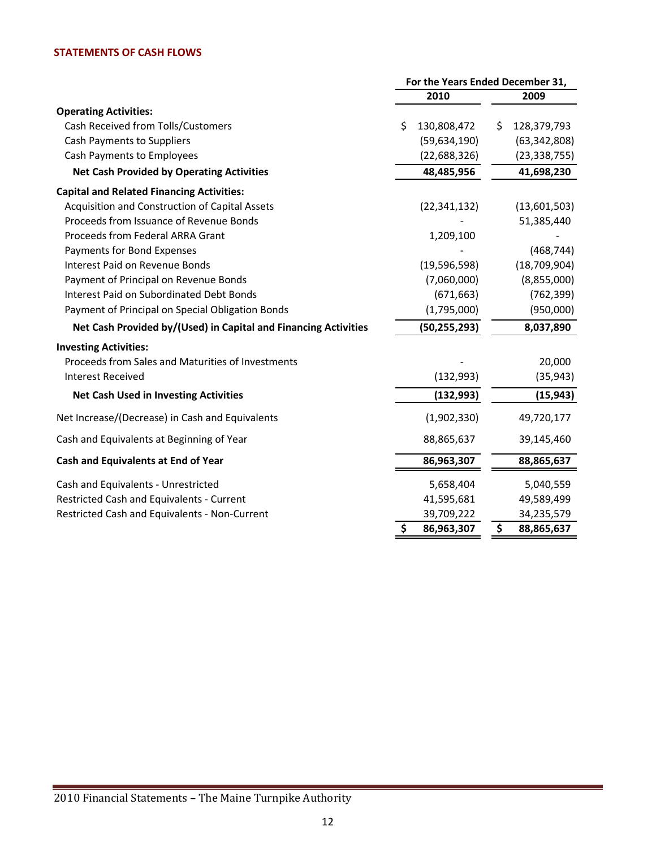# **STATEMENTS OF CASH FLOWS**

|                                                                 | For the Years Ended December 31, |                   |  |
|-----------------------------------------------------------------|----------------------------------|-------------------|--|
|                                                                 | 2010                             | 2009              |  |
| <b>Operating Activities:</b>                                    |                                  |                   |  |
| Cash Received from Tolls/Customers                              | 130,808,472<br>\$                | \$<br>128,379,793 |  |
| <b>Cash Payments to Suppliers</b>                               | (59, 634, 190)                   | (63, 342, 808)    |  |
| Cash Payments to Employees                                      | (22, 688, 326)                   | (23, 338, 755)    |  |
| <b>Net Cash Provided by Operating Activities</b>                | 48,485,956                       | 41,698,230        |  |
| <b>Capital and Related Financing Activities:</b>                |                                  |                   |  |
| Acquisition and Construction of Capital Assets                  | (22, 341, 132)                   | (13,601,503)      |  |
| Proceeds from Issuance of Revenue Bonds                         |                                  | 51,385,440        |  |
| Proceeds from Federal ARRA Grant                                | 1,209,100                        |                   |  |
| Payments for Bond Expenses                                      |                                  | (468, 744)        |  |
| Interest Paid on Revenue Bonds                                  | (19, 596, 598)                   | (18, 709, 904)    |  |
| Payment of Principal on Revenue Bonds                           | (7,060,000)                      | (8,855,000)       |  |
| <b>Interest Paid on Subordinated Debt Bonds</b>                 | (671, 663)                       | (762, 399)        |  |
| Payment of Principal on Special Obligation Bonds                | (1,795,000)                      | (950,000)         |  |
| Net Cash Provided by/(Used) in Capital and Financing Activities | (50, 255, 293)                   | 8,037,890         |  |
| <b>Investing Activities:</b>                                    |                                  |                   |  |
| Proceeds from Sales and Maturities of Investments               |                                  | 20,000            |  |
| <b>Interest Received</b>                                        | (132, 993)                       | (35, 943)         |  |
| <b>Net Cash Used in Investing Activities</b>                    | (132, 993)                       | (15, 943)         |  |
| Net Increase/(Decrease) in Cash and Equivalents                 | (1,902,330)                      | 49,720,177        |  |
| Cash and Equivalents at Beginning of Year                       | 88,865,637                       | 39,145,460        |  |
| Cash and Equivalents at End of Year                             | 86,963,307                       | 88,865,637        |  |
| Cash and Equivalents - Unrestricted                             | 5,658,404                        | 5,040,559         |  |
| Restricted Cash and Equivalents - Current                       | 41,595,681                       | 49,589,499        |  |
| Restricted Cash and Equivalents - Non-Current                   | 39,709,222                       | 34,235,579        |  |
|                                                                 | \$<br>86,963,307                 | \$<br>88,865,637  |  |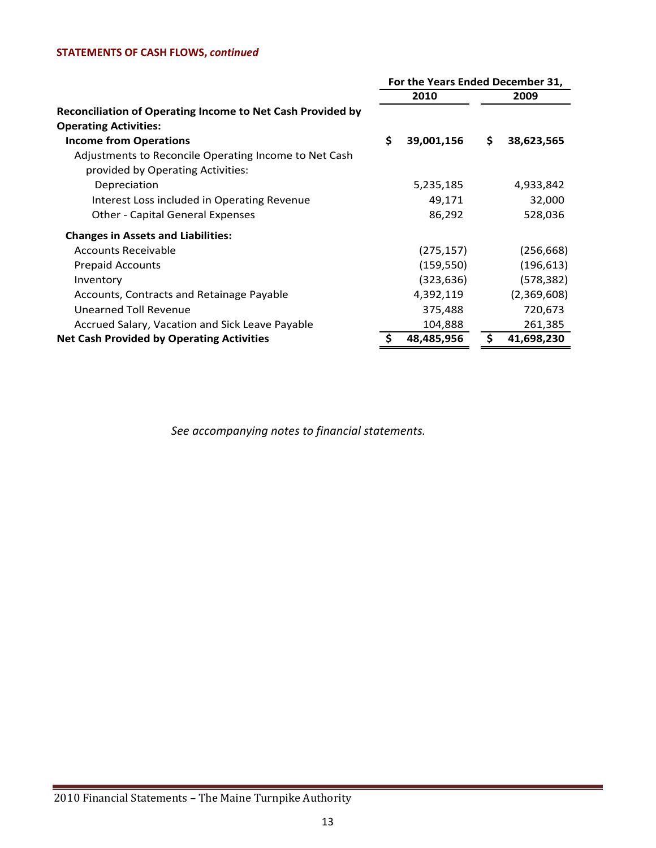# **STATEMENTS OF CASH FLOWS,** *continued*

|                                                            | For the Years Ended December 31, |            |    |             |
|------------------------------------------------------------|----------------------------------|------------|----|-------------|
|                                                            | 2010                             |            |    | 2009        |
| Reconciliation of Operating Income to Net Cash Provided by |                                  |            |    |             |
| <b>Operating Activities:</b>                               |                                  |            |    |             |
| <b>Income from Operations</b>                              | \$                               | 39,001,156 | S. | 38,623,565  |
| Adjustments to Reconcile Operating Income to Net Cash      |                                  |            |    |             |
| provided by Operating Activities:                          |                                  |            |    |             |
| Depreciation                                               |                                  | 5,235,185  |    | 4,933,842   |
| Interest Loss included in Operating Revenue                |                                  | 49,171     |    | 32,000      |
| <b>Other - Capital General Expenses</b>                    |                                  | 86,292     |    | 528,036     |
| <b>Changes in Assets and Liabilities:</b>                  |                                  |            |    |             |
| <b>Accounts Receivable</b>                                 |                                  | (275, 157) |    | (256,668)   |
| <b>Prepaid Accounts</b>                                    |                                  | (159, 550) |    | (196, 613)  |
| Inventory                                                  |                                  | (323,636)  |    | (578,382)   |
| Accounts, Contracts and Retainage Payable                  |                                  | 4,392,119  |    | (2,369,608) |
| <b>Unearned Toll Revenue</b>                               |                                  | 375,488    |    | 720,673     |
| Accrued Salary, Vacation and Sick Leave Payable            | 104,888<br>261,385               |            |    |             |
| <b>Net Cash Provided by Operating Activities</b>           | Ś                                | 48,485,956 | Ŝ  | 41,698,230  |

*See accompanying notes to financial statements.*

2010 Financial Statements – The Maine Turnpike Authority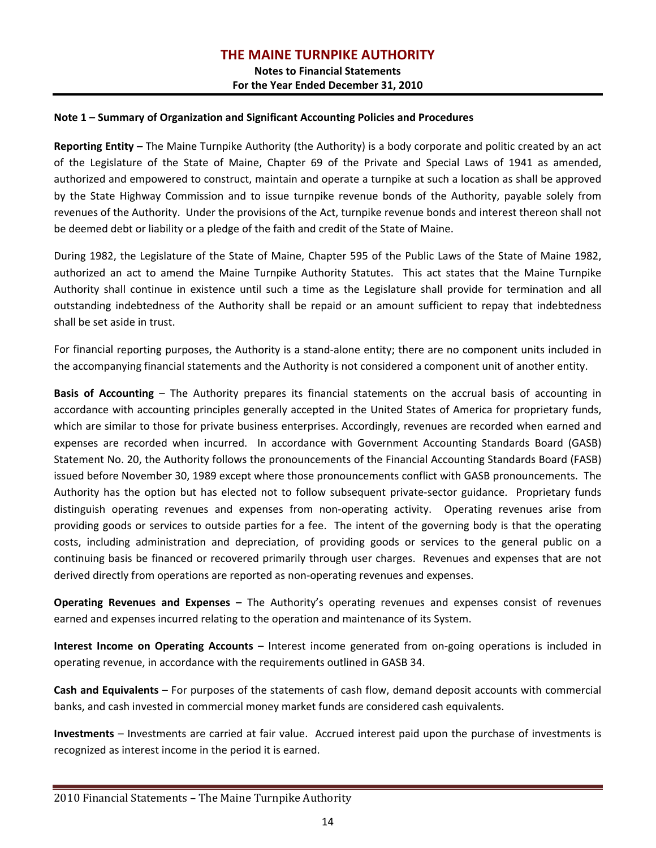# **THE MAINE TURNPIKE AUTHORITY**

**Notes to Financial Statements For the Year Ended December 31, 2010**

#### **Note 1 – Summary of Organization and Significant Accounting Policies and Procedures**

**Reporting Entity –** The Maine Turnpike Authority (the Authority) is a body corporate and politic created by an act of the Legislature of the State of Maine, Chapter 69 of the Private and Special Laws of 1941 as amended, authorized and empowered to construct, maintain and operate a turnpike at such a location as shall be approved by the State Highway Commission and to issue turnpike revenue bonds of the Authority, payable solely from revenues of the Authority. Under the provisions of the Act, turnpike revenue bonds and interest thereon shall not be deemed debt or liability or a pledge of the faith and credit of the State of Maine.

During 1982, the Legislature of the State of Maine, Chapter 595 of the Public Laws of the State of Maine 1982, authorized an act to amend the Maine Turnpike Authority Statutes. This act states that the Maine Turnpike Authority shall continue in existence until such a time as the Legislature shall provide for termination and all outstanding indebtedness of the Authority shall be repaid or an amount sufficient to repay that indebtedness shall be set aside in trust.

For financial reporting purposes, the Authority is a stand-alone entity; there are no component units included in the accompanying financial statements and the Authority is not considered a component unit of another entity.

**Basis of Accounting** – The Authority prepares its financial statements on the accrual basis of accounting in accordance with accounting principles generally accepted in the United States of America for proprietary funds, which are similar to those for private business enterprises. Accordingly, revenues are recorded when earned and expenses are recorded when incurred. In accordance with Government Accounting Standards Board (GASB) Statement No. 20, the Authority follows the pronouncements of the Financial Accounting Standards Board (FASB) issued before November 30, 1989 except where those pronouncements conflict with GASB pronouncements. The Authority has the option but has elected not to follow subsequent private‐sector guidance. Proprietary funds distinguish operating revenues and expenses from non-operating activity. Operating revenues arise from providing goods or services to outside parties for a fee. The intent of the governing body is that the operating costs, including administration and depreciation, of providing goods or services to the general public on a continuing basis be financed or recovered primarily through user charges. Revenues and expenses that are not derived directly from operations are reported as non‐operating revenues and expenses.

**Operating Revenues and Expenses –** The Authority's operating revenues and expenses consist of revenues earned and expenses incurred relating to the operation and maintenance of its System.

**Interest Income on Operating Accounts** – Interest income generated from on‐going operations is included in operating revenue, in accordance with the requirements outlined in GASB 34.

**Cash and Equivalents** – For purposes of the statements of cash flow, demand deposit accounts with commercial banks, and cash invested in commercial money market funds are considered cash equivalents.

**Investments** – Investments are carried at fair value. Accrued interest paid upon the purchase of investments is recognized as interest income in the period it is earned.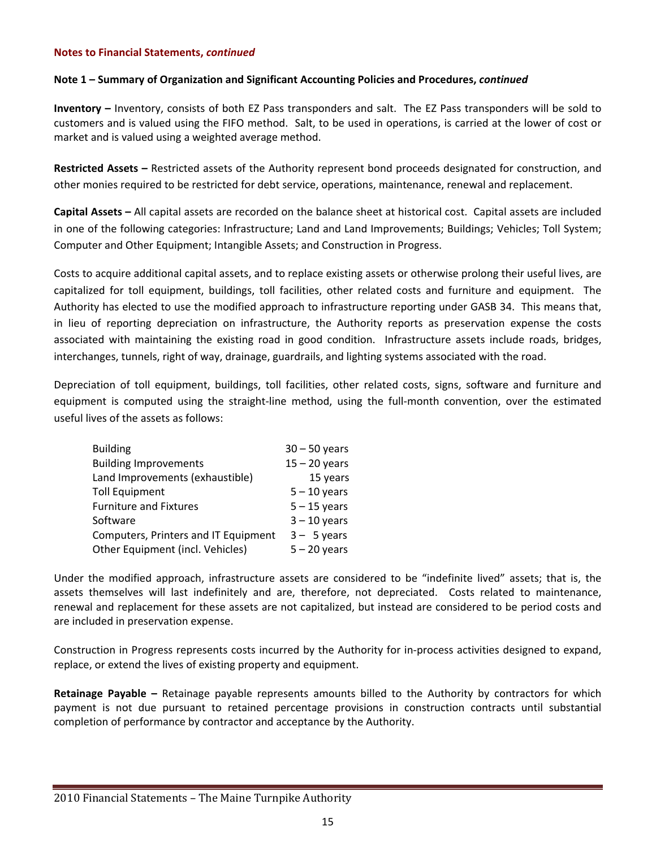# **Note 1 – Summary of Organization and Significant Accounting Policies and Procedures,** *continued*

**Inventory –** Inventory, consists of both EZ Pass transponders and salt. The EZ Pass transponders will be sold to customers and is valued using the FIFO method. Salt, to be used in operations, is carried at the lower of cost or market and is valued using a weighted average method.

**Restricted Assets –** Restricted assets of the Authority represent bond proceeds designated for construction, and other monies required to be restricted for debt service, operations, maintenance, renewal and replacement.

**Capital Assets –** All capital assets are recorded on the balance sheet at historical cost. Capital assets are included in one of the following categories: Infrastructure; Land and Land Improvements; Buildings; Vehicles; Toll System; Computer and Other Equipment; Intangible Assets; and Construction in Progress.

Costs to acquire additional capital assets, and to replace existing assets or otherwise prolong their useful lives, are capitalized for toll equipment, buildings, toll facilities, other related costs and furniture and equipment. The Authority has elected to use the modified approach to infrastructure reporting under GASB 34. This means that, in lieu of reporting depreciation on infrastructure, the Authority reports as preservation expense the costs associated with maintaining the existing road in good condition. Infrastructure assets include roads, bridges, interchanges, tunnels, right of way, drainage, guardrails, and lighting systems associated with the road.

Depreciation of toll equipment, buildings, toll facilities, other related costs, signs, software and furniture and equipment is computed using the straight-line method, using the full-month convention, over the estimated useful lives of the assets as follows:

| <b>Building</b>                      | $30 - 50$ years |
|--------------------------------------|-----------------|
| <b>Building Improvements</b>         | $15 - 20$ years |
| Land Improvements (exhaustible)      | 15 years        |
| <b>Toll Equipment</b>                | $5 - 10$ years  |
| <b>Furniture and Fixtures</b>        | $5 - 15$ years  |
| Software                             | $3 - 10$ years  |
| Computers, Printers and IT Equipment | $3 - 5$ years   |
| Other Equipment (incl. Vehicles)     | $5 - 20$ years  |

Under the modified approach, infrastructure assets are considered to be "indefinite lived" assets; that is, the assets themselves will last indefinitely and are, therefore, not depreciated. Costs related to maintenance, renewal and replacement for these assets are not capitalized, but instead are considered to be period costs and are included in preservation expense.

Construction in Progress represents costs incurred by the Authority for in‐process activities designed to expand, replace, or extend the lives of existing property and equipment.

**Retainage Payable –** Retainage payable represents amounts billed to the Authority by contractors for which payment is not due pursuant to retained percentage provisions in construction contracts until substantial completion of performance by contractor and acceptance by the Authority.

# 2010 Financial Statements – The Maine Turnpike Authority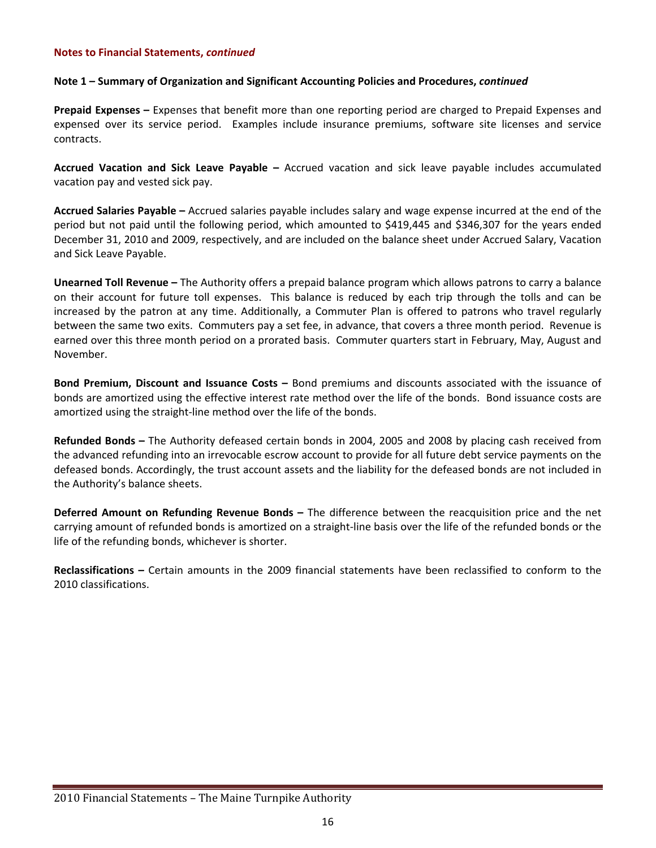# **Note 1 – Summary of Organization and Significant Accounting Policies and Procedures,** *continued*

**Prepaid Expenses –** Expenses that benefit more than one reporting period are charged to Prepaid Expenses and expensed over its service period. Examples include insurance premiums, software site licenses and service contracts.

**Accrued Vacation and Sick Leave Payable –** Accrued vacation and sick leave payable includes accumulated vacation pay and vested sick pay.

**Accrued Salaries Payable –** Accrued salaries payable includes salary and wage expense incurred at the end of the period but not paid until the following period, which amounted to \$419,445 and \$346,307 for the years ended December 31, 2010 and 2009, respectively, and are included on the balance sheet under Accrued Salary, Vacation and Sick Leave Payable.

**Unearned Toll Revenue –** The Authority offers a prepaid balance program which allows patrons to carry a balance on their account for future toll expenses. This balance is reduced by each trip through the tolls and can be increased by the patron at any time. Additionally, a Commuter Plan is offered to patrons who travel regularly between the same two exits. Commuters pay a set fee, in advance, that covers a three month period. Revenue is earned over this three month period on a prorated basis. Commuter quarters start in February, May, August and November.

**Bond Premium, Discount and Issuance Costs –** Bond premiums and discounts associated with the issuance of bonds are amortized using the effective interest rate method over the life of the bonds. Bond issuance costs are amortized using the straight‐line method over the life of the bonds.

**Refunded Bonds –** The Authority defeased certain bonds in 2004, 2005 and 2008 by placing cash received from the advanced refunding into an irrevocable escrow account to provide for all future debt service payments on the defeased bonds. Accordingly, the trust account assets and the liability for the defeased bonds are not included in the Authority's balance sheets.

**Deferred Amount on Refunding Revenue Bonds –** The difference between the reacquisition price and the net carrying amount of refunded bonds is amortized on a straight‐line basis over the life of the refunded bonds or the life of the refunding bonds, whichever is shorter.

**Reclassifications –** Certain amounts in the 2009 financial statements have been reclassified to conform to the 2010 classifications.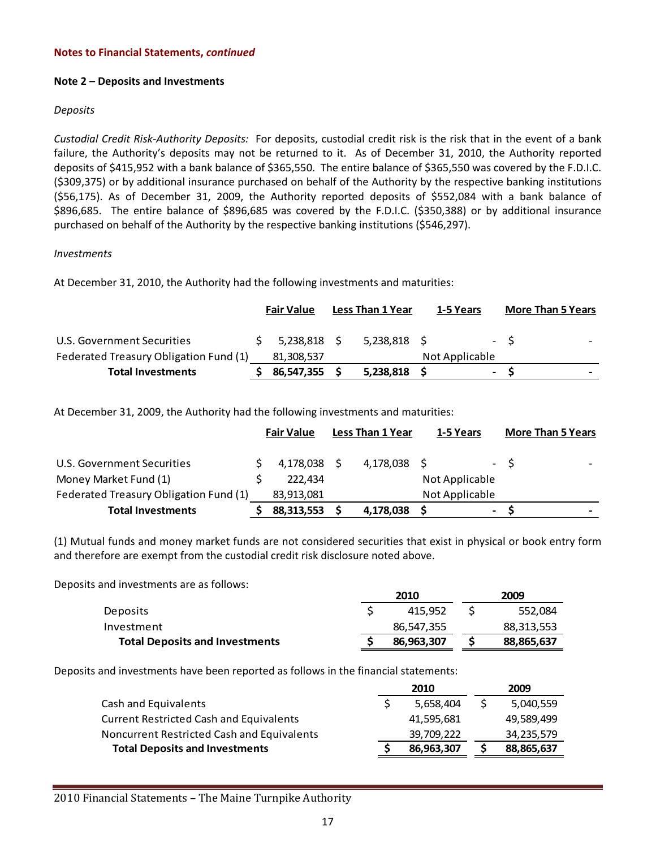# **Note 2 – Deposits and Investments**

#### *Deposits*

*Custodial Credit Risk‐Authority Deposits:* For deposits, custodial credit risk is the risk that in the event of a bank failure, the Authority's deposits may not be returned to it. As of December 31, 2010, the Authority reported deposits of \$415,952 with a bank balance of \$365,550. The entire balance of \$365,550 was covered by the F.D.I.C. (\$309,375) or by additional insurance purchased on behalf of the Authority by the respective banking institutions (\$56,175). As of December 31, 2009, the Authority reported deposits of \$552,084 with a bank balance of \$896,685. The entire balance of \$896,685 was covered by the F.D.I.C. (\$350,388) or by additional insurance purchased on behalf of the Authority by the respective banking institutions (\$546,297).

#### *Investments*

At December 31, 2010, the Authority had the following investments and maturities:

|                                        | <b>Fair Value</b> | <b>Less Than 1 Year</b> | 1-5 Years      |                | <b>More Than 5 Years</b> |                          |
|----------------------------------------|-------------------|-------------------------|----------------|----------------|--------------------------|--------------------------|
| U.S. Government Securities             | $5,238,818$ \$    | 5.238.818 \$            |                |                | $-S$                     |                          |
| Federated Treasury Obligation Fund (1) | 81,308,537        |                         | Not Applicable |                |                          |                          |
| <b>Total Investments</b>               | 86,547,355        | 5,238,818               |                | $\blacksquare$ |                          | $\overline{\phantom{0}}$ |

At December 31, 2009, the Authority had the following investments and maturities:

|                                        | <b>Fair Value</b> | <b>Less Than 1 Year</b> | 1-5 Years      | <b>More Than 5 Years</b> |
|----------------------------------------|-------------------|-------------------------|----------------|--------------------------|
| U.S. Government Securities             | 4,178,038         | 4,178,038               |                | $-S$                     |
| Money Market Fund (1)                  | 222.434           |                         | Not Applicable |                          |
| Federated Treasury Obligation Fund (1) | 83,913,081        |                         | Not Applicable |                          |
| <b>Total Investments</b>               | 88,313,553        | 4,178,038               | $\blacksquare$ | $\overline{\phantom{0}}$ |

(1) Mutual funds and money market funds are not considered securities that exist in physical or book entry form and therefore are exempt from the custodial credit risk disclosure noted above.

Deposits and investments are as follows:

|                                       | 2010       | 2009       |
|---------------------------------------|------------|------------|
| <b>Deposits</b>                       | 415.952    | 552,084    |
| Investment                            | 86,547,355 | 88,313,553 |
| <b>Total Deposits and Investments</b> | 86,963,307 | 88,865,637 |

Deposits and investments have been reported as follows in the financial statements:

|                                                | 2010       | 2009       |
|------------------------------------------------|------------|------------|
| Cash and Equivalents                           | 5.658.404  | 5,040,559  |
| <b>Current Restricted Cash and Equivalents</b> | 41.595.681 | 49.589.499 |
| Noncurrent Restricted Cash and Equivalents     | 39,709,222 | 34,235,579 |
| <b>Total Deposits and Investments</b>          | 86,963,307 | 88,865,637 |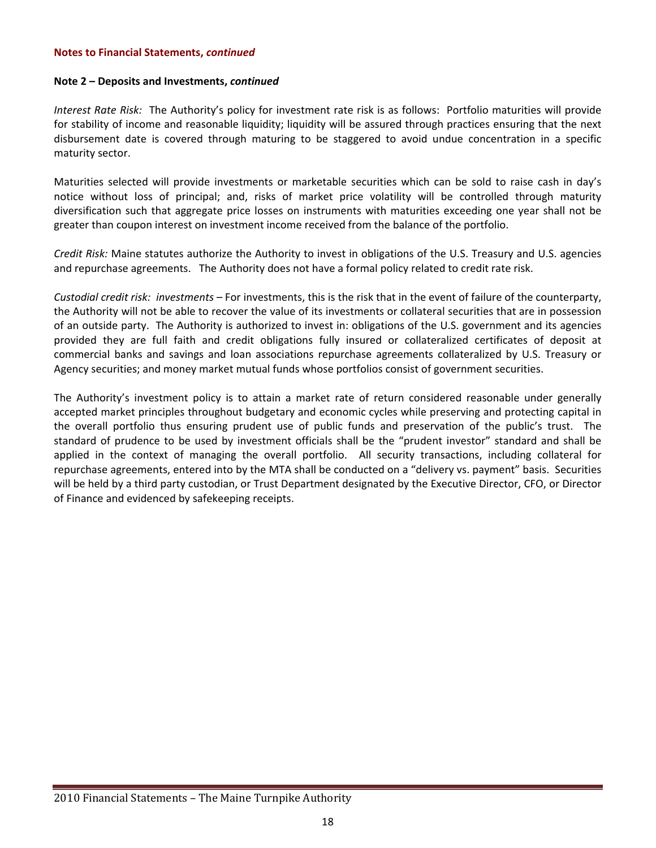#### **Note 2 – Deposits and Investments,** *continued*

*Interest Rate Risk:* The Authority's policy for investment rate risk is as follows: Portfolio maturities will provide for stability of income and reasonable liquidity; liquidity will be assured through practices ensuring that the next disbursement date is covered through maturing to be staggered to avoid undue concentration in a specific maturity sector.

Maturities selected will provide investments or marketable securities which can be sold to raise cash in day's notice without loss of principal; and, risks of market price volatility will be controlled through maturity diversification such that aggregate price losses on instruments with maturities exceeding one year shall not be greater than coupon interest on investment income received from the balance of the portfolio.

*Credit Risk:* Maine statutes authorize the Authority to invest in obligations of the U.S. Treasury and U.S. agencies and repurchase agreements. The Authority does not have a formal policy related to credit rate risk.

*Custodial credit risk: investments –* For investments, this is the risk that in the event of failure of the counterparty, the Authority will not be able to recover the value of its investments or collateral securities that are in possession of an outside party. The Authority is authorized to invest in: obligations of the U.S. government and its agencies provided they are full faith and credit obligations fully insured or collateralized certificates of deposit at commercial banks and savings and loan associations repurchase agreements collateralized by U.S. Treasury or Agency securities; and money market mutual funds whose portfolios consist of government securities.

The Authority's investment policy is to attain a market rate of return considered reasonable under generally accepted market principles throughout budgetary and economic cycles while preserving and protecting capital in the overall portfolio thus ensuring prudent use of public funds and preservation of the public's trust. The standard of prudence to be used by investment officials shall be the "prudent investor" standard and shall be applied in the context of managing the overall portfolio. All security transactions, including collateral for repurchase agreements, entered into by the MTA shall be conducted on a "delivery vs. payment" basis. Securities will be held by a third party custodian, or Trust Department designated by the Executive Director, CFO, or Director of Finance and evidenced by safekeeping receipts.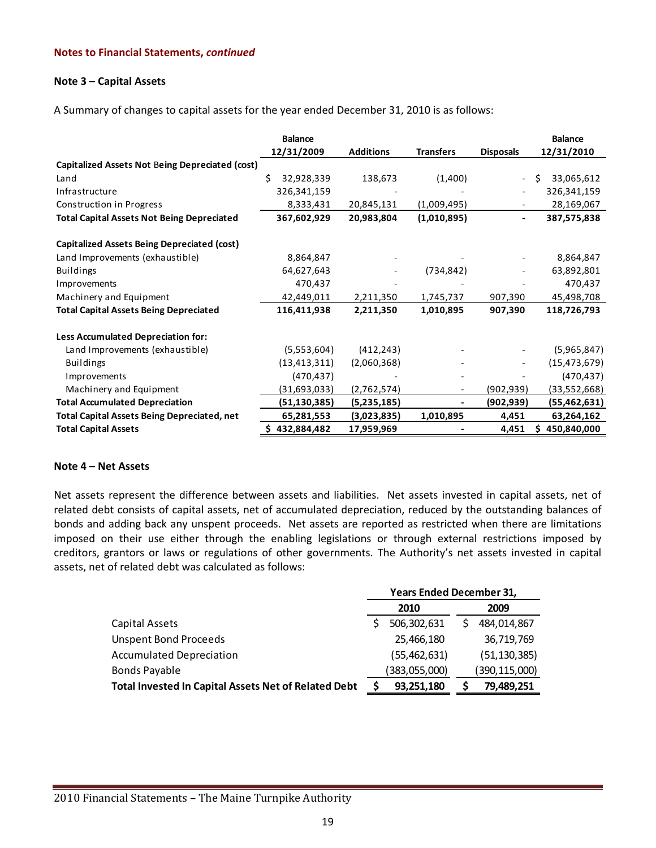# **Note 3 – Capital Assets**

A Summary of changes to capital assets for the year ended December 31, 2010 is as follows:

|                                                        | <b>Balance</b>   |                  |                  |                          | <b>Balance</b>   |
|--------------------------------------------------------|------------------|------------------|------------------|--------------------------|------------------|
|                                                        | 12/31/2009       | <b>Additions</b> | <b>Transfers</b> | <b>Disposals</b>         | 12/31/2010       |
| <b>Capitalized Assets Not Being Depreciated (cost)</b> |                  |                  |                  |                          |                  |
| Land                                                   | 32,928,339<br>Ś. | 138,673          | (1,400)          | $\overline{\phantom{a}}$ | Ŝ.<br>33,065,612 |
| Infrastructure                                         | 326,341,159      |                  |                  |                          | 326,341,159      |
| Construction in Progress                               | 8,333,431        | 20,845,131       | (1,009,495)      |                          | 28,169,067       |
| <b>Total Capital Assets Not Being Depreciated</b>      | 367,602,929      | 20,983,804       | (1,010,895)      | $\blacksquare$           | 387,575,838      |
| <b>Capitalized Assets Being Depreciated (cost)</b>     |                  |                  |                  |                          |                  |
| Land Improvements (exhaustible)                        | 8,864,847        |                  |                  |                          | 8,864,847        |
| <b>Buildings</b>                                       | 64,627,643       |                  | (734, 842)       |                          | 63,892,801       |
| Improvements                                           | 470,437          |                  |                  |                          | 470,437          |
| Machinery and Equipment                                | 42,449,011       | 2,211,350        | 1,745,737        | 907,390                  | 45,498,708       |
| <b>Total Capital Assets Being Depreciated</b>          | 116,411,938      | 2,211,350        | 1,010,895        | 907,390                  | 118,726,793      |
| <b>Less Accumulated Depreciation for:</b>              |                  |                  |                  |                          |                  |
| Land Improvements (exhaustible)                        | (5,553,604)      | (412, 243)       |                  |                          | (5,965,847)      |
| <b>Buildings</b>                                       | (13, 413, 311)   | (2,060,368)      |                  |                          | (15, 473, 679)   |
| Improvements                                           | (470, 437)       |                  |                  |                          | (470, 437)       |
| Machinery and Equipment                                | (31,693,033)     | (2,762,574)      |                  | (902,939)                | (33, 552, 668)   |
| <b>Total Accumulated Depreciation</b>                  | (51,130,385)     | (5,235,185)      |                  | (902,939)                | (55, 462, 631)   |
| <b>Total Capital Assets Being Depreciated, net</b>     | 65,281,553       | (3,023,835)      | 1,010,895        | 4,451                    | 63,264,162       |
| <b>Total Capital Assets</b>                            | 432,884,482      | 17,959,969       |                  | 4,451                    | 450,840,000      |

# **Note 4 – Net Assets**

Net assets represent the difference between assets and liabilities. Net assets invested in capital assets, net of related debt consists of capital assets, net of accumulated depreciation, reduced by the outstanding balances of bonds and adding back any unspent proceeds. Net assets are reported as restricted when there are limitations imposed on their use either through the enabling legislations or through external restrictions imposed by creditors, grantors or laws or regulations of other governments. The Authority's net assets invested in capital assets, net of related debt was calculated as follows:

|                                                      | <b>Years Ended December 31,</b> |                 |  |                 |  |  |  |
|------------------------------------------------------|---------------------------------|-----------------|--|-----------------|--|--|--|
|                                                      |                                 | 2010            |  | 2009            |  |  |  |
| Capital Assets                                       |                                 | 506,302,631     |  | 484,014,867     |  |  |  |
| <b>Unspent Bond Proceeds</b>                         |                                 | 25,466,180      |  | 36,719,769      |  |  |  |
| <b>Accumulated Depreciation</b>                      |                                 | (55, 462, 631)  |  | (51, 130, 385)  |  |  |  |
| Bonds Payable                                        |                                 | (383, 055, 000) |  | (390, 115, 000) |  |  |  |
| Total Invested In Capital Assets Net of Related Debt |                                 | 93,251,180      |  | 79,489,251      |  |  |  |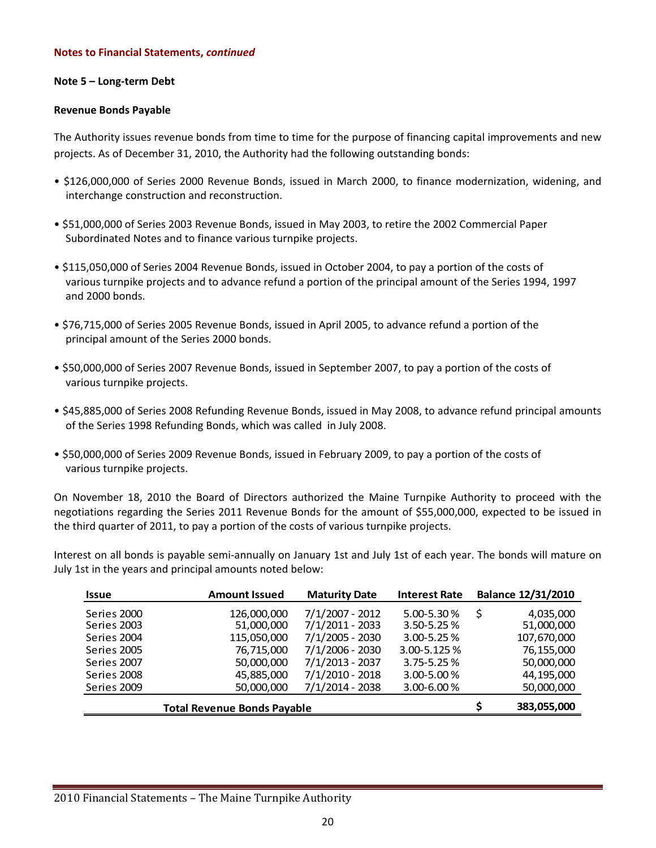# **Note 5 – Long‐term Debt**

#### **Revenue Bonds Payable**

The Authority issues revenue bonds from time to time for the purpose of financing capital improvements and new projects. As of December 31, 2010, the Authority had the following outstanding bonds:

- \$126,000,000 of Series 2000 Revenue Bonds, issued in March 2000, to finance modernization, widening, and interchange construction and reconstruction.
- \$51,000,000 of Series 2003 Revenue Bonds, issued in May 2003, to retire the 2002 Commercial Paper Subordinated Notes and to finance various turnpike projects.
- \$115,050,000 of Series 2004 Revenue Bonds, issued in October 2004, to pay a portion of the costs of various turnpike projects and to advance refund a portion of the principal amount of the Series 1994, 1997 and 2000 bonds.
- \$76,715,000 of Series 2005 Revenue Bonds, issued in April 2005, to advance refund a portion of the principal amount of the Series 2000 bonds.
- \$50,000,000 of Series 2007 Revenue Bonds, issued in September 2007, to pay a portion of the costs of various turnpike projects.
- \$45,885,000 of Series 2008 Refunding Revenue Bonds, issued in May 2008, to advance refund principal amounts of the Series 1998 Refunding Bonds, which was called in July 2008.
- \$50,000,000 of Series 2009 Revenue Bonds, issued in February 2009, to pay a portion of the costs of various turnpike projects.

On November 18, 2010 the Board of Directors authorized the Maine Turnpike Authority to proceed with the negotiations regarding the Series 2011 Revenue Bonds for the amount of \$55,000,000, expected to be issued in the third quarter of 2011, to pay a portion of the costs of various turnpike projects.

Interest on all bonds is payable semi-annually on January 1st and July 1st of each year. The bonds will mature on July 1st in the years and principal amounts noted below:

| <b>Issue</b> | <b>Amount Issued</b>               | <b>Maturity Date</b> | <b>Interest Rate</b> |   | <b>Balance 12/31/2010</b> |
|--------------|------------------------------------|----------------------|----------------------|---|---------------------------|
| Series 2000  | 126,000,000                        | $7/1/2007 - 2012$    | 5.00-5.30%           | S | 4,035,000                 |
| Series 2003  | 51,000,000                         | 7/1/2011 - 2033      | $3.50 - 5.25%$       |   | 51,000,000                |
| Series 2004  | 115,050,000                        | 7/1/2005 - 2030      | $3.00 - 5.25%$       |   | 107,670,000               |
| Series 2005  | 76,715,000                         | 7/1/2006 - 2030      | 3.00-5.125%          |   | 76,155,000                |
| Series 2007  | 50,000,000                         | $7/1/2013 - 2037$    | 3.75-5.25%           |   | 50,000,000                |
| Series 2008  | 45,885,000                         | $7/1/2010 - 2018$    | $3.00 - 5.00 %$      |   | 44,195,000                |
| Series 2009  | 50,000,000                         | $7/1/2014 - 2038$    | 3.00-6.00%           |   | 50,000,000                |
|              | <b>Total Revenue Bonds Payable</b> |                      |                      |   | 383,055,000               |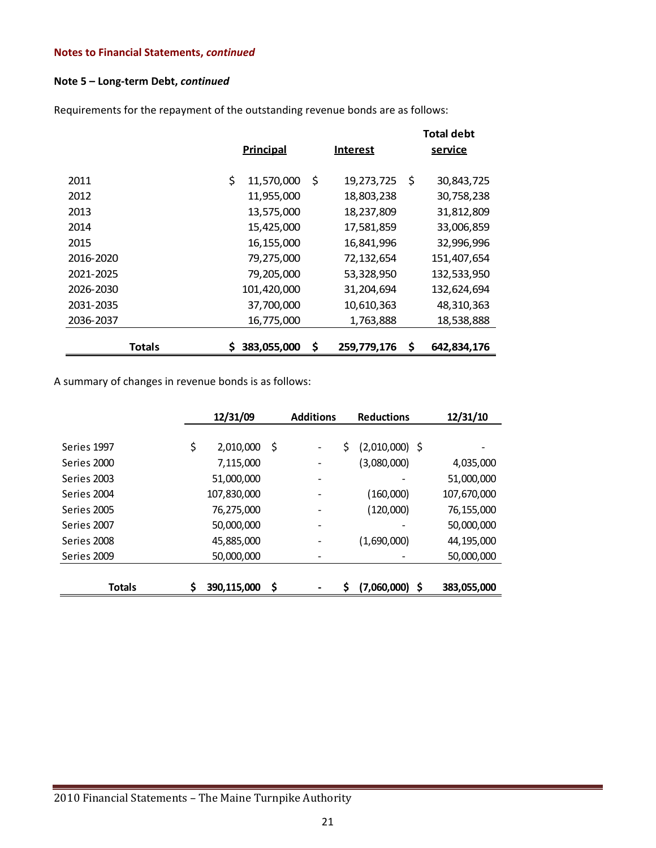#### **Note 5 – Long‐term Debt,** *continued*

**Principal Interest Total debt service** 2011 11,570,000 \$ \$ 19,273,725 \$ 30,843,725 2012 11,955,000 18,803,238 30,758,238 2013 13,575,000 18,237,809 31,812,809 2014 15,425,000 17,581,859 33,006,859 2015 16,155,000 16,841,996 32,996,996 2016‐2020 79,275,000 72,132,654 151,407,654 2021‐2025 79,205,000 53,328,950 132,533,950 2026‐2030 101,420,000 31,204,694 132,624,694 2031‐2035 37,700,000 10,610,363 48,310,363 2036‐2037 16,775,000 1,763,888 18,538,888 **Totals 383,055,000 \$ \$ 259,779,176 \$ 642,834,176**

Requirements for the repayment of the outstanding revenue bonds are as follows:

A summary of changes in revenue bonds is as follows:

|               | 12/31/09          |     |   | <b>Additions</b><br><b>Reductions</b> |                  | 12/31/10 |             |
|---------------|-------------------|-----|---|---------------------------------------|------------------|----------|-------------|
|               |                   |     |   |                                       |                  |          |             |
| Series 1997   | \$<br>2,010,000   | -\$ |   | \$                                    | $(2,010,000)$ \$ |          |             |
| Series 2000   | 7,115,000         |     |   |                                       | (3,080,000)      |          | 4,035,000   |
| Series 2003   | 51,000,000        |     | - |                                       | ۰                |          | 51,000,000  |
| Series 2004   | 107,830,000       |     |   |                                       | (160,000)        |          | 107,670,000 |
| Series 2005   | 76,275,000        |     |   |                                       | (120,000)        |          | 76,155,000  |
| Series 2007   | 50,000,000        |     |   |                                       |                  |          | 50,000,000  |
| Series 2008   | 45,885,000        |     |   |                                       | (1,690,000)      |          | 44,195,000  |
| Series 2009   | 50,000,000        |     |   |                                       |                  |          | 50,000,000  |
|               |                   |     |   |                                       |                  |          |             |
| <b>Totals</b> | \$<br>390,115,000 | \$  |   | \$                                    | $(7,060,000)$ \$ |          | 383,055,000 |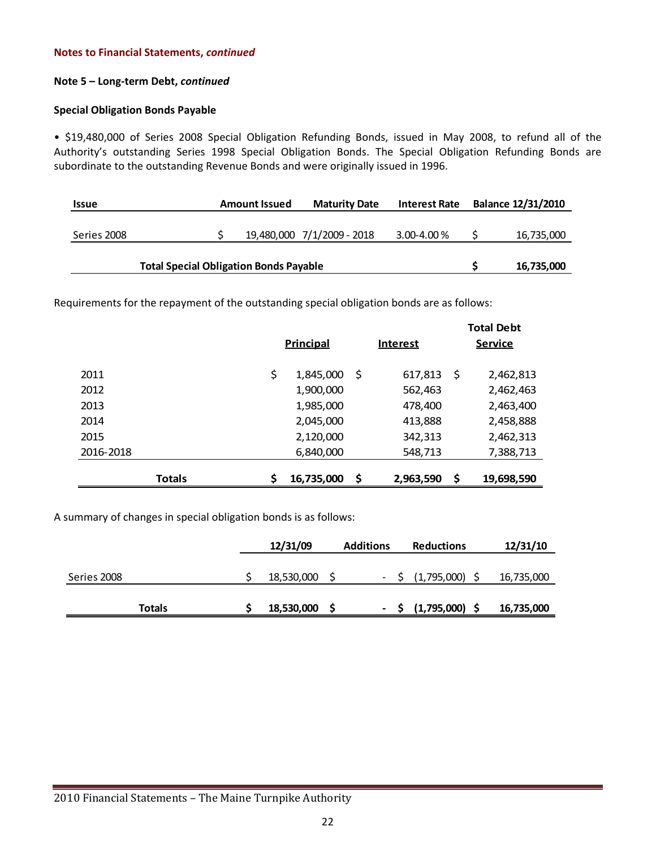# **Note 5 – Long‐term Debt,** *continued*

#### **Special Obligation Bonds Payable**

• \$19,480,000 of Series 2008 Special Obligation Refunding Bonds, issued in May 2008, to refund all of the Authority's outstanding Series 1998 Special Obligation Bonds. The Special Obligation Refunding Bonds are subordinate to the outstanding Revenue Bonds and were originally issued in 1996.

| <b>Issue</b> |                                               | <b>Amount Issued</b> | <b>Maturity Date</b>       | <b>Interest Rate</b> | <b>Balance 12/31/2010</b> |
|--------------|-----------------------------------------------|----------------------|----------------------------|----------------------|---------------------------|
| Series 2008  |                                               |                      | 19,480,000 7/1/2009 - 2018 | $3.00 - 4.00 %$      | 16,735,000                |
|              | <b>Total Special Obligation Bonds Payable</b> |                      |                            |                      | 16,735,000                |

Requirements for the repayment of the outstanding special obligation bonds are as follows:

|               |                  |    |                 |    | <b>Total Debt</b> |
|---------------|------------------|----|-----------------|----|-------------------|
|               | <b>Principal</b> |    | <b>Interest</b> |    | <b>Service</b>    |
| 2011          |                  |    |                 |    |                   |
|               | \$<br>1,845,000  | S  | 617,813         | S  | 2,462,813         |
| 2012          | 1,900,000        |    | 562,463         |    | 2,462,463         |
| 2013          | 1,985,000        |    | 478,400         |    | 2,463,400         |
| 2014          | 2,045,000        |    | 413,888         |    | 2,458,888         |
| 2015          | 2,120,000        |    | 342,313         |    | 2,462,313         |
| 2016-2018     | 6,840,000        |    | 548,713         |    | 7,388,713         |
|               |                  |    |                 |    |                   |
| <b>Totals</b> | \$<br>16,735,000 | \$ | 2,963,590       | \$ | 19,698,590        |

A summary of changes in special obligation bonds is as follows:

|             |               | 12/31/09   | <b>Additions</b> | <b>Reductions</b>     | 12/31/10   |
|-------------|---------------|------------|------------------|-----------------------|------------|
| Series 2008 |               | 18,530,000 |                  | $(1,795,000)$ \$      | 16,735,000 |
|             | <b>Totals</b> | 18,530,000 |                  | $-$ \$ (1,795,000) \$ | 16,735,000 |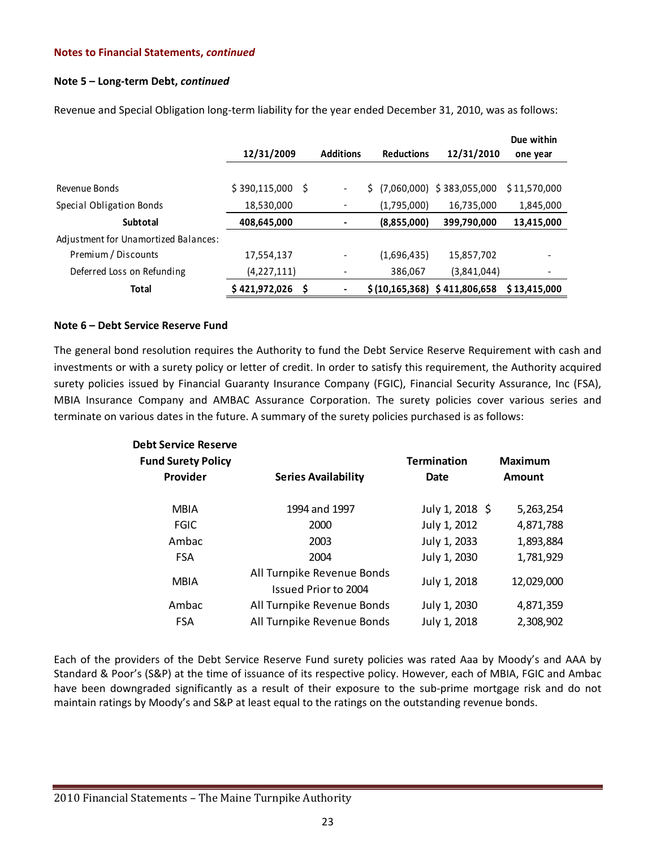# **Note 5 – Long‐term Debt,** *continued*

|                                      | 12/31/2009    |    | <b>Additions</b>         |    | <b>Reductions</b> | 12/31/2010                   | Due within<br>one year |
|--------------------------------------|---------------|----|--------------------------|----|-------------------|------------------------------|------------------------|
|                                      |               |    |                          |    |                   |                              |                        |
| Revenue Bonds                        | \$390,115,000 | -S | $\overline{\phantom{a}}$ | S. |                   | $(7,060,000)$ \$ 383,055,000 | \$11,570,000           |
| Special Obligation Bonds             | 18,530,000    |    |                          |    | (1,795,000)       | 16,735,000                   | 1,845,000              |
| Subtotal                             | 408,645,000   |    |                          |    | (8,855,000)       | 399,790,000                  | 13,415,000             |
| Adjustment for Unamortized Balances: |               |    |                          |    |                   |                              |                        |
| Premium / Discounts                  | 17,554,137    |    | -                        |    | (1,696,435)       | 15,857,702                   |                        |
| Deferred Loss on Refunding           | (4, 227, 111) |    | -                        |    | 386,067           | (3,841,044)                  | -                      |
| <b>Total</b>                         | \$421,972,026 | -S |                          |    | \$(10, 165, 368)  | \$411,806,658                | \$13,415,000           |

Revenue and Special Obligation long-term liability for the year ended December 31, 2010, was as follows:

# **Note 6 – Debt Service Reserve Fund**

The general bond resolution requires the Authority to fund the Debt Service Reserve Requirement with cash and investments or with a surety policy or letter of credit. In order to satisfy this requirement, the Authority acquired surety policies issued by Financial Guaranty Insurance Company (FGIC), Financial Security Assurance, Inc (FSA), MBIA Insurance Company and AMBAC Assurance Corporation. The surety policies cover various series and terminate on various dates in the future. A summary of the surety policies purchased is as follows:

| <b>Debt Service Reserve</b> |                                                    |                    |                |
|-----------------------------|----------------------------------------------------|--------------------|----------------|
| <b>Fund Surety Policy</b>   |                                                    | <b>Termination</b> | <b>Maximum</b> |
| Provider                    | <b>Series Availability</b>                         | <b>Date</b>        | <b>Amount</b>  |
| <b>MBIA</b>                 | 1994 and 1997                                      | July 1, 2018 \$    | 5,263,254      |
| <b>FGIC</b>                 | 2000                                               | July 1, 2012       | 4,871,788      |
| Ambac                       | 2003                                               | July 1, 2033       | 1,893,884      |
| <b>FSA</b>                  | 2004                                               | July 1, 2030       | 1,781,929      |
| <b>MBIA</b>                 | All Turnpike Revenue Bonds<br>Issued Prior to 2004 | July 1, 2018       | 12,029,000     |
| Ambac                       | All Turnpike Revenue Bonds                         | July 1, 2030       | 4,871,359      |
| <b>FSA</b>                  | All Turnpike Revenue Bonds                         | July 1, 2018       | 2,308,902      |

Each of the providers of the Debt Service Reserve Fund surety policies was rated Aaa by Moody's and AAA by Standard & Poor's (S&P) at the time of issuance of its respective policy. However, each of MBIA, FGIC and Ambac have been downgraded significantly as a result of their exposure to the sub-prime mortgage risk and do not maintain ratings by Moody's and S&P at least equal to the ratings on the outstanding revenue bonds.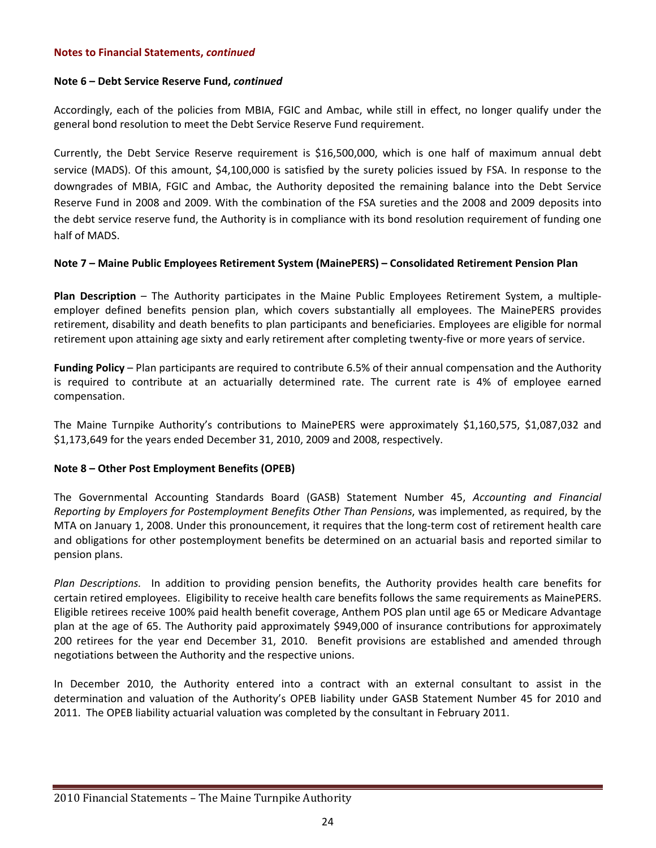# **Note 6 – Debt Service Reserve Fund,** *continued*

Accordingly, each of the policies from MBIA, FGIC and Ambac, while still in effect, no longer qualify under the general bond resolution to meet the Debt Service Reserve Fund requirement.

Currently, the Debt Service Reserve requirement is \$16,500,000, which is one half of maximum annual debt service (MADS). Of this amount, \$4,100,000 is satisfied by the surety policies issued by FSA. In response to the downgrades of MBIA, FGIC and Ambac, the Authority deposited the remaining balance into the Debt Service Reserve Fund in 2008 and 2009. With the combination of the FSA sureties and the 2008 and 2009 deposits into the debt service reserve fund, the Authority is in compliance with its bond resolution requirement of funding one half of MADS.

# **Note 7 – Maine Public Employees Retirement System (MainePERS) – Consolidated Retirement Pension Plan**

**Plan Description** – The Authority participates in the Maine Public Employees Retirement System, a multiple‐ employer defined benefits pension plan, which covers substantially all employees. The MainePERS provides retirement, disability and death benefits to plan participants and beneficiaries. Employees are eligible for normal retirement upon attaining age sixty and early retirement after completing twenty‐five or more years of service.

**Funding Policy** – Plan participants are required to contribute 6.5% of their annual compensation and the Authority is required to contribute at an actuarially determined rate. The current rate is 4% of employee earned compensation.

The Maine Turnpike Authority's contributions to MainePERS were approximately \$1,160,575, \$1,087,032 and \$1,173,649 for the years ended December 31, 2010, 2009 and 2008, respectively.

# **Note 8 – Other Post Employment Benefits (OPEB)**

The Governmental Accounting Standards Board (GASB) Statement Number 45, *Accounting and Financial Reporting by Employers for Postemployment Benefits Other Than Pensions*, was implemented, as required, by the MTA on January 1, 2008. Under this pronouncement, it requires that the long-term cost of retirement health care and obligations for other postemployment benefits be determined on an actuarial basis and reported similar to pension plans.

*Plan Descriptions.* In addition to providing pension benefits, the Authority provides health care benefits for certain retired employees. Eligibility to receive health care benefits follows the same requirements as MainePERS. Eligible retirees receive 100% paid health benefit coverage, Anthem POS plan until age 65 or Medicare Advantage plan at the age of 65. The Authority paid approximately \$949,000 of insurance contributions for approximately 200 retirees for the year end December 31, 2010. Benefit provisions are established and amended through negotiations between the Authority and the respective unions.

In December 2010, the Authority entered into a contract with an external consultant to assist in the determination and valuation of the Authority's OPEB liability under GASB Statement Number 45 for 2010 and 2011. The OPEB liability actuarial valuation was completed by the consultant in February 2011.

# 2010 Financial Statements – The Maine Turnpike Authority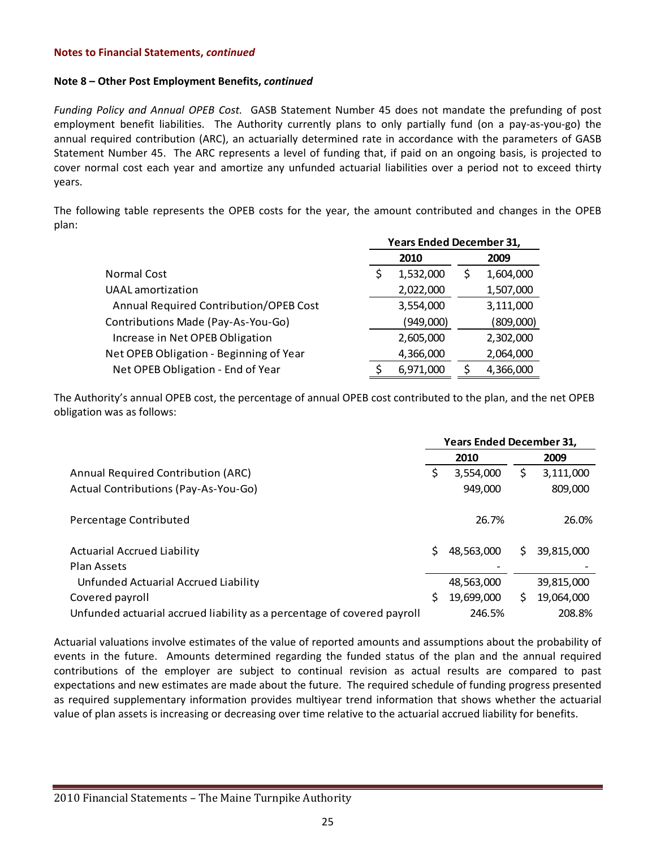#### **Note 8 – Other Post Employment Benefits,** *continued*

*Funding Policy and Annual OPEB Cost.* GASB Statement Number 45 does not mandate the prefunding of post employment benefit liabilities. The Authority currently plans to only partially fund (on a pay-as-you-go) the annual required contribution (ARC), an actuarially determined rate in accordance with the parameters of GASB Statement Number 45. The ARC represents a level of funding that, if paid on an ongoing basis, is projected to cover normal cost each year and amortize any unfunded actuarial liabilities over a period not to exceed thirty years.

The following table represents the OPEB costs for the year, the amount contributed and changes in the OPEB plan:

|                                         | <b>Years Ended December 31,</b> |    |           |
|-----------------------------------------|---------------------------------|----|-----------|
|                                         | 2010                            |    | 2009      |
| Normal Cost                             | \$<br>1,532,000                 | \$ | 1,604,000 |
| <b>UAAL</b> amortization                | 2,022,000                       |    | 1,507,000 |
| Annual Required Contribution/OPEB Cost  | 3,554,000                       |    | 3,111,000 |
| Contributions Made (Pay-As-You-Go)      | (949,000)                       |    | (809,000) |
| Increase in Net OPEB Obligation         | 2,605,000                       |    | 2,302,000 |
| Net OPEB Obligation - Beginning of Year | 4,366,000                       |    | 2,064,000 |
| Net OPEB Obligation - End of Year       | 6,971,000                       | S  | 4,366,000 |

The Authority's annual OPEB cost, the percentage of annual OPEB cost contributed to the plan, and the net OPEB obligation was as follows:

|                                                                         |    | <b>Years Ended December 31,</b> |    |            |
|-------------------------------------------------------------------------|----|---------------------------------|----|------------|
|                                                                         |    | 2010                            |    | 2009       |
| Annual Required Contribution (ARC)                                      | \$ | 3,554,000                       | Ş  | 3,111,000  |
| Actual Contributions (Pay-As-You-Go)                                    |    | 949,000                         |    | 809,000    |
| Percentage Contributed                                                  |    | 26.7%                           |    | 26.0%      |
| <b>Actuarial Accrued Liability</b>                                      | S. | 48,563,000                      | Ś. | 39,815,000 |
| Plan Assets                                                             |    |                                 |    |            |
| Unfunded Actuarial Accrued Liability                                    |    | 48,563,000                      |    | 39,815,000 |
| Covered payroll                                                         | Ŝ. | 19,699,000                      | Ś  | 19,064,000 |
| Unfunded actuarial accrued liability as a percentage of covered payroll |    | 246.5%                          |    | 208.8%     |

Actuarial valuations involve estimates of the value of reported amounts and assumptions about the probability of events in the future. Amounts determined regarding the funded status of the plan and the annual required contributions of the employer are subject to continual revision as actual results are compared to past expectations and new estimates are made about the future. The required schedule of funding progress presented as required supplementary information provides multiyear trend information that shows whether the actuarial value of plan assets is increasing or decreasing over time relative to the actuarial accrued liability for benefits.

# 2010 Financial Statements – The Maine Turnpike Authority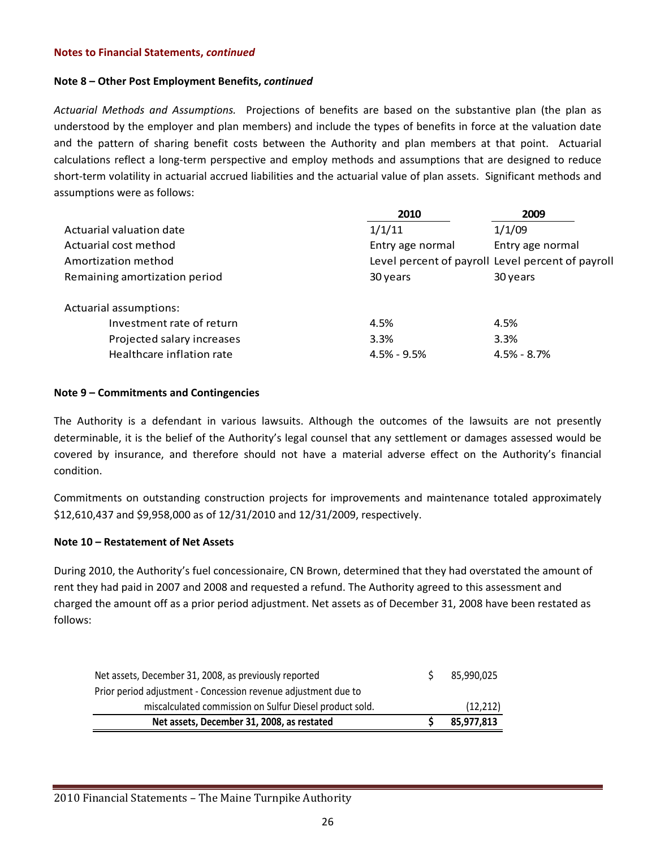# **Note 8 – Other Post Employment Benefits,** *continued*

*Actuarial Methods and Assumptions.*  Projections of benefits are based on the substantive plan (the plan as understood by the employer and plan members) and include the types of benefits in force at the valuation date and the pattern of sharing benefit costs between the Authority and plan members at that point. Actuarial calculations reflect a long‐term perspective and employ methods and assumptions that are designed to reduce short-term volatility in actuarial accrued liabilities and the actuarial value of plan assets. Significant methods and assumptions were as follows:

|                               | 2010             | 2009                                              |
|-------------------------------|------------------|---------------------------------------------------|
| Actuarial valuation date      | 1/1/11           | 1/1/09                                            |
| Actuarial cost method         | Entry age normal | Entry age normal                                  |
| Amortization method           |                  | Level percent of payroll Level percent of payroll |
| Remaining amortization period | 30 years         | 30 years                                          |
| Actuarial assumptions:        |                  |                                                   |
| Investment rate of return     | 4.5%             | 4.5%                                              |
| Projected salary increases    | 3.3%             | 3.3%                                              |
| Healthcare inflation rate     | $4.5\% - 9.5\%$  | $4.5\% - 8.7\%$                                   |

# **Note 9 – Commitments and Contingencies**

The Authority is a defendant in various lawsuits. Although the outcomes of the lawsuits are not presently determinable, it is the belief of the Authority's legal counsel that any settlement or damages assessed would be covered by insurance, and therefore should not have a material adverse effect on the Authority's financial condition.

Commitments on outstanding construction projects for improvements and maintenance totaled approximately \$12,610,437 and \$9,958,000 as of 12/31/2010 and 12/31/2009, respectively.

# **Note 10 – Restatement of Net Assets**

During 2010, the Authority's fuel concessionaire, CN Brown, determined that they had overstated the amount of rent they had paid in 2007 and 2008 and requested a refund. The Authority agreed to this assessment and charged the amount off as a prior period adjustment. Net assets as of December 31, 2008 have been restated as follows:

| Net assets, December 31, 2008, as restated                     | 85,977,813 |
|----------------------------------------------------------------|------------|
| miscalculated commission on Sulfur Diesel product sold.        | (12, 212)  |
| Prior period adjustment - Concession revenue adjustment due to |            |
| Net assets, December 31, 2008, as previously reported          | 85.990.025 |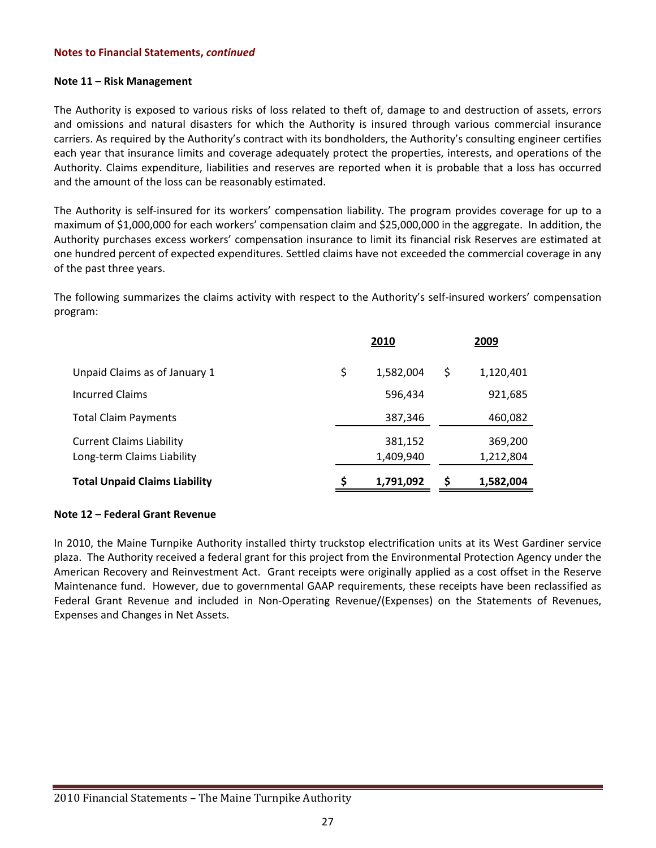#### **Note 11 – Risk Management**

The Authority is exposed to various risks of loss related to theft of, damage to and destruction of assets, errors and omissions and natural disasters for which the Authority is insured through various commercial insurance carriers. As required by the Authority's contract with its bondholders, the Authority's consulting engineer certifies each year that insurance limits and coverage adequately protect the properties, interests, and operations of the Authority. Claims expenditure, liabilities and reserves are reported when it is probable that a loss has occurred and the amount of the loss can be reasonably estimated.

The Authority is self-insured for its workers' compensation liability. The program provides coverage for up to a maximum of \$1,000,000 for each workers' compensation claim and \$25,000,000 in the aggregate. In addition, the Authority purchases excess workers' compensation insurance to limit its financial risk Reserves are estimated at one hundred percent of expected expenditures. Settled claims have not exceeded the commercial coverage in any of the past three years.

The following summarizes the claims activity with respect to the Authority's self-insured workers' compensation program:

|                                                               |    | 2010                 |   | <u> 2009</u>         |
|---------------------------------------------------------------|----|----------------------|---|----------------------|
| Unpaid Claims as of January 1                                 | \$ | 1,582,004            | S | 1,120,401            |
| <b>Incurred Claims</b>                                        |    | 596,434              |   | 921,685              |
| <b>Total Claim Payments</b>                                   |    | 387,346              |   | 460,082              |
| <b>Current Claims Liability</b><br>Long-term Claims Liability |    | 381,152<br>1,409,940 |   | 369,200<br>1,212,804 |
| <b>Total Unpaid Claims Liability</b>                          | S  | 1,791,092            | S | 1,582,004            |

# **Note <sup>12</sup> – Federal Grant Revenue**

In 2010, the Maine Turnpike Authority installed thirty truckstop electrification units at its West Gardiner service plaza. The Authority received a federal grant for this project from the Environmental Protection Agency under the American Recovery and Reinvestment Act. Grant receipts were originally applied as a cost offset in the Reserve Maintenance fund. However, due to governmental GAAP requirements, these receipts have been reclassified as Federal Grant Revenue and included in Non-Operating Revenue/(Expenses) on the Statements of Revenues, Expenses and Changes in Net Assets.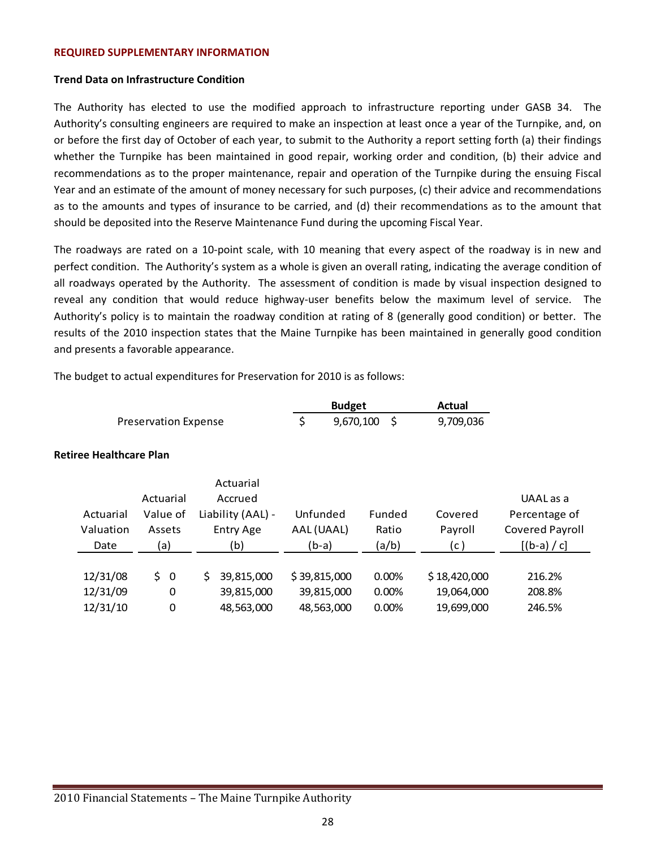#### **REQUIRED SUPPLEMENTARY INFORMATION**

#### **Trend Data on Infrastructure Condition**

The Authority has elected to use the modified approach to infrastructure reporting under GASB 34. The Authority's consulting engineers are required to make an inspection at least once a year of the Turnpike, and, on or before the first day of October of each year, to submit to the Authority a report setting forth (a) their findings whether the Turnpike has been maintained in good repair, working order and condition, (b) their advice and recommendations as to the proper maintenance, repair and operation of the Turnpike during the ensuing Fiscal Year and an estimate of the amount of money necessary for such purposes, (c) their advice and recommendations as to the amounts and types of insurance to be carried, and (d) their recommendations as to the amount that should be deposited into the Reserve Maintenance Fund during the upcoming Fiscal Year.

The roadways are rated on a 10‐point scale, with 10 meaning that every aspect of the roadway is in new and perfect condition. The Authority's system as a whole is given an overall rating, indicating the average condition of all roadways operated by the Authority. The assessment of condition is made by visual inspection designed to reveal any condition that would reduce highway-user benefits below the maximum level of service. The Authority's policy is to maintain the roadway condition at rating of 8 (generally good condition) or better. The results of the 2010 inspection states that the Maine Turnpike has been maintained in generally good condition and presents a favorable appearance.

The budget to actual expenditures for Preservation for 2010 is as follows:

|                             | <b>Budget</b> | Actual    |
|-----------------------------|---------------|-----------|
| <b>Preservation Expense</b> | 9,670,100     | 9,709,036 |

#### **Retiree Healthcare Plan**

|           |           | Actuarial         |              |        |              |                        |
|-----------|-----------|-------------------|--------------|--------|--------------|------------------------|
|           | Actuarial | Accrued           |              |        |              | UAAL as a              |
| Actuarial | Value of  | Liability (AAL) - | Unfunded     | Funded | Covered      | Percentage of          |
| Valuation | Assets    | <b>Entry Age</b>  | AAL (UAAL)   | Ratio  | Payroll      | <b>Covered Payroll</b> |
| Date      | (a)       | (b)               | $(b-a)$      | (a/b)  | (c)          | $[(b-a) / c]$          |
|           |           |                   |              |        |              |                        |
| 12/31/08  | $\zeta$ 0 | 39,815,000        | \$39,815,000 | 0.00%  | \$18,420,000 | 216.2%                 |
| 12/31/09  | 0         | 39,815,000        | 39,815,000   | 0.00%  | 19,064,000   | 208.8%                 |
| 12/31/10  | 0         | 48,563,000        | 48,563,000   | 0.00%  | 19,699,000   | 246.5%                 |